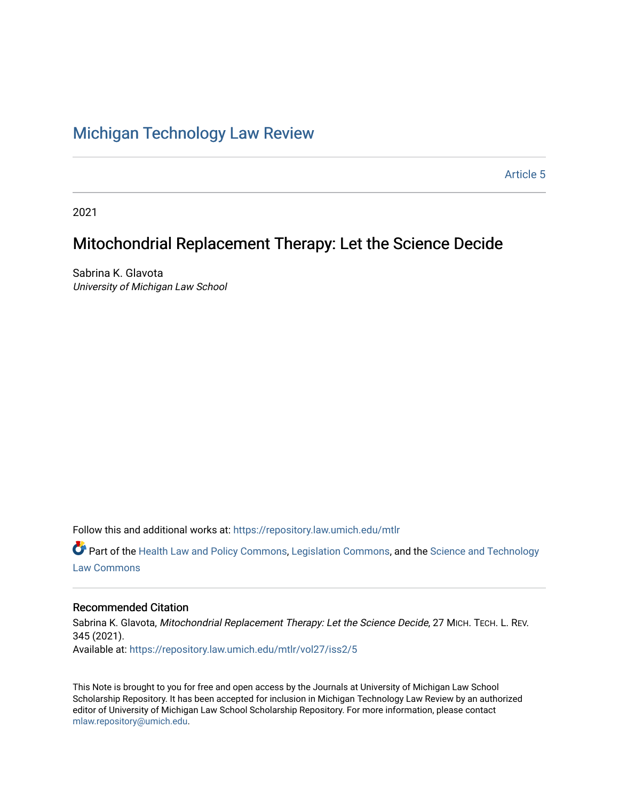# [Michigan Technology Law Review](https://repository.law.umich.edu/mtlr)

[Article 5](https://repository.law.umich.edu/mtlr/vol27/iss2/5) 

2021

# Mitochondrial Replacement Therapy: Let the Science Decide

Sabrina K. Glavota University of Michigan Law School

Follow this and additional works at: [https://repository.law.umich.edu/mtlr](https://repository.law.umich.edu/mtlr?utm_source=repository.law.umich.edu%2Fmtlr%2Fvol27%2Fiss2%2F5&utm_medium=PDF&utm_campaign=PDFCoverPages) 

 $\bullet$  Part of the [Health Law and Policy Commons](http://network.bepress.com/hgg/discipline/901?utm_source=repository.law.umich.edu%2Fmtlr%2Fvol27%2Fiss2%2F5&utm_medium=PDF&utm_campaign=PDFCoverPages), [Legislation Commons,](http://network.bepress.com/hgg/discipline/859?utm_source=repository.law.umich.edu%2Fmtlr%2Fvol27%2Fiss2%2F5&utm_medium=PDF&utm_campaign=PDFCoverPages) and the [Science and Technology](http://network.bepress.com/hgg/discipline/875?utm_source=repository.law.umich.edu%2Fmtlr%2Fvol27%2Fiss2%2F5&utm_medium=PDF&utm_campaign=PDFCoverPages) [Law Commons](http://network.bepress.com/hgg/discipline/875?utm_source=repository.law.umich.edu%2Fmtlr%2Fvol27%2Fiss2%2F5&utm_medium=PDF&utm_campaign=PDFCoverPages) 

# Recommended Citation

Sabrina K. Glavota, Mitochondrial Replacement Therapy: Let the Science Decide, 27 MICH. TECH. L. REV. 345 (2021). Available at: [https://repository.law.umich.edu/mtlr/vol27/iss2/5](https://repository.law.umich.edu/mtlr/vol27/iss2/5?utm_source=repository.law.umich.edu%2Fmtlr%2Fvol27%2Fiss2%2F5&utm_medium=PDF&utm_campaign=PDFCoverPages) 

This Note is brought to you for free and open access by the Journals at University of Michigan Law School Scholarship Repository. It has been accepted for inclusion in Michigan Technology Law Review by an authorized editor of University of Michigan Law School Scholarship Repository. For more information, please contact [mlaw.repository@umich.edu.](mailto:mlaw.repository@umich.edu)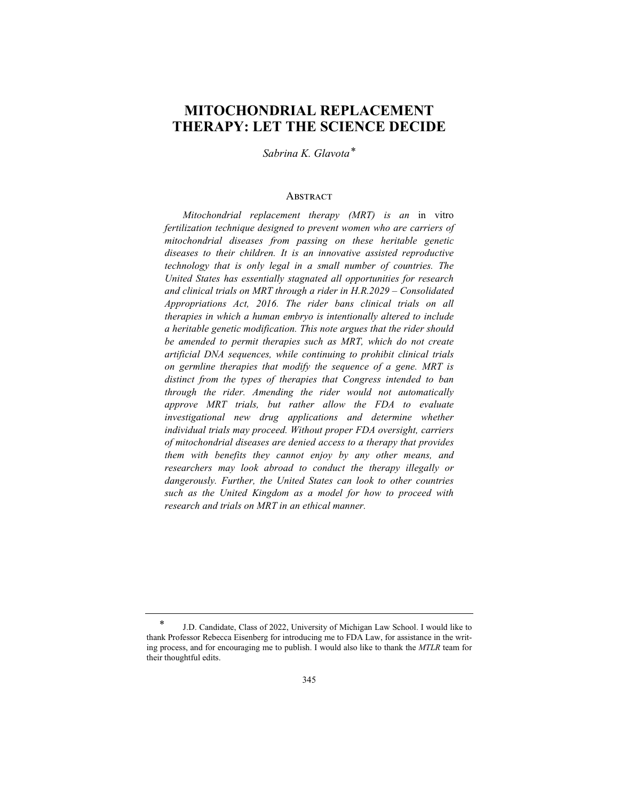# **MITOCHONDRIAL REPLACEMENT THERAPY: LET THE SCIENCE DECIDE**

*Sabrina K. Glavota\**

#### **ABSTRACT**

*Mitochondrial replacement therapy (MRT) is an* in vitro *fertilization technique designed to prevent women who are carriers of mitochondrial diseases from passing on these heritable genetic diseases to their children. It is an innovative assisted reproductive technology that is only legal in a small number of countries. The United States has essentially stagnated all opportunities for research and clinical trials on MRT through a rider in H.R.2029 – Consolidated Appropriations Act, 2016. The rider bans clinical trials on all therapies in which a human embryo is intentionally altered to include a heritable genetic modification. This note argues that the rider should be amended to permit therapies such as MRT, which do not create artificial DNA sequences, while continuing to prohibit clinical trials on germline therapies that modify the sequence of a gene. MRT is distinct from the types of therapies that Congress intended to ban through the rider. Amending the rider would not automatically approve MRT trials, but rather allow the FDA to evaluate investigational new drug applications and determine whether individual trials may proceed. Without proper FDA oversight, carriers of mitochondrial diseases are denied access to a therapy that provides them with benefits they cannot enjoy by any other means, and researchers may look abroad to conduct the therapy illegally or dangerously. Further, the United States can look to other countries such as the United Kingdom as a model for how to proceed with research and trials on MRT in an ethical manner.*

<sup>\*</sup> J.D. Candidate, Class of 2022, University of Michigan Law School. I would like to thank Professor Rebecca Eisenberg for introducing me to FDA Law, for assistance in the writing process, and for encouraging me to publish. I would also like to thank the *MTLR* team for their thoughtful edits.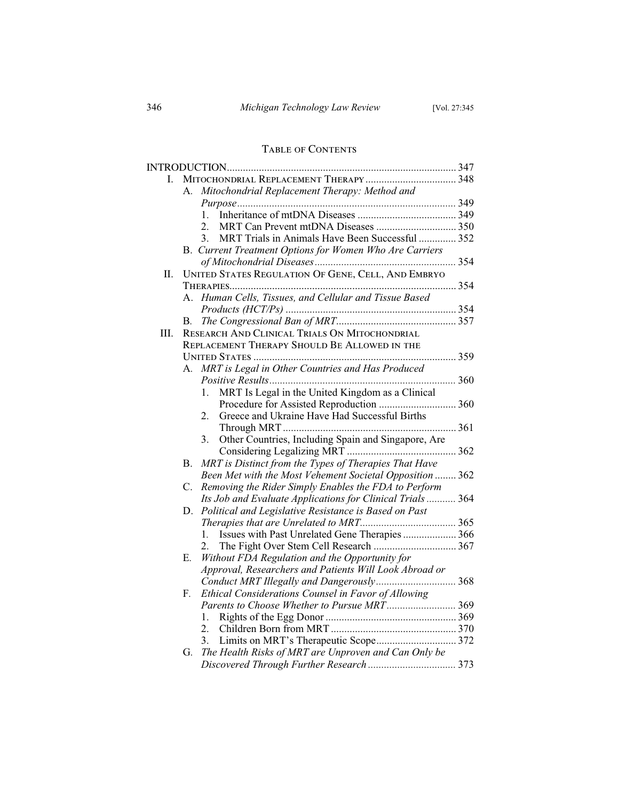# TABLE OF CONTENTS

| L. |                                                                   |  |
|----|-------------------------------------------------------------------|--|
|    | Mitochondrial Replacement Therapy: Method and<br>А.               |  |
|    |                                                                   |  |
|    | $1_{-}$                                                           |  |
|    | 2.                                                                |  |
|    | MRT Trials in Animals Have Been Successful  352<br>3 <sub>1</sub> |  |
|    | B. Current Treatment Options for Women Who Are Carriers           |  |
|    |                                                                   |  |
| П. | UNITED STATES REGULATION OF GENE, CELL, AND EMBRYO                |  |
|    |                                                                   |  |
|    | Human Cells, Tissues, and Cellular and Tissue Based<br>A.         |  |
|    |                                                                   |  |
|    | В.                                                                |  |
| Ш. | RESEARCH AND CLINICAL TRIALS ON MITOCHONDRIAL                     |  |
|    | REPLACEMENT THERAPY SHOULD BE ALLOWED IN THE                      |  |
|    |                                                                   |  |
|    | MRT is Legal in Other Countries and Has Produced<br>А.            |  |
|    |                                                                   |  |
|    | MRT Is Legal in the United Kingdom as a Clinical<br>1.            |  |
|    |                                                                   |  |
|    | Greece and Ukraine Have Had Successful Births<br>2.               |  |
|    |                                                                   |  |
|    | Other Countries, Including Spain and Singapore, Are<br>3.         |  |
|    |                                                                   |  |
|    | MRT is Distinct from the Types of Therapies That Have<br>В.       |  |
|    | Been Met with the Most Vehement Societal Opposition  362          |  |
|    | Removing the Rider Simply Enables the FDA to Perform<br>C.        |  |
|    | Its Job and Evaluate Applications for Clinical Trials  364        |  |
|    | Political and Legislative Resistance is Based on Past<br>D.       |  |
|    |                                                                   |  |
|    | Issues with Past Unrelated Gene Therapies  366<br>$1_{-}$         |  |
|    | 2.                                                                |  |
|    | Without FDA Regulation and the Opportunity for<br>Е.              |  |
|    | Approval, Researchers and Patients Will Look Abroad or            |  |
|    | Conduct MRT Illegally and Dangerously 368                         |  |
|    | Ethical Considerations Counsel in Favor of Allowing<br>F.         |  |
|    |                                                                   |  |
|    | 1.                                                                |  |
|    |                                                                   |  |
|    | Limits on MRT's Therapeutic Scope 372<br>3.                       |  |
|    | The Health Risks of MRT are Unproven and Can Only be<br>G.        |  |
|    |                                                                   |  |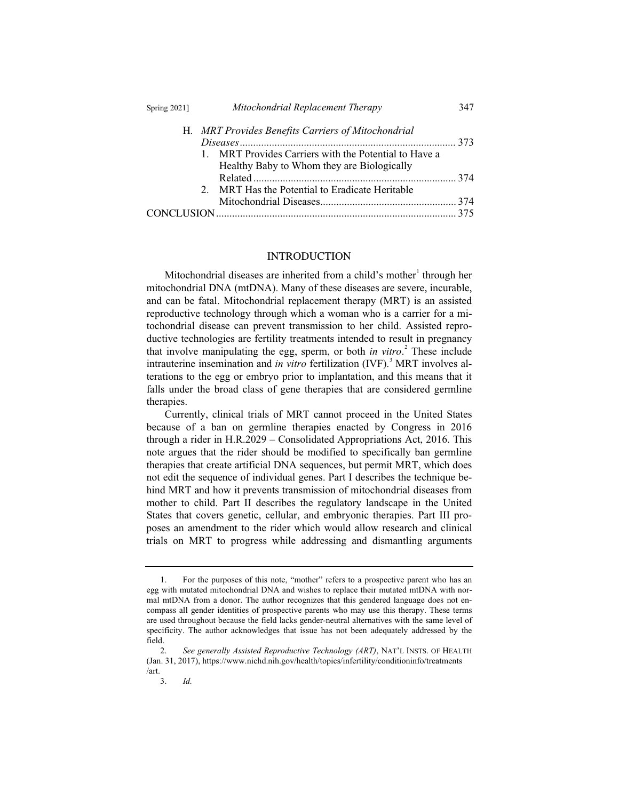## Spring 2021] *Mitochondrial Replacement Therapy* 347

|  | H. MRT Provides Benefits Carriers of Mitochondrial    |  |
|--|-------------------------------------------------------|--|
|  |                                                       |  |
|  | 1. MRT Provides Carriers with the Potential to Have a |  |
|  | Healthy Baby to Whom they are Biologically            |  |
|  |                                                       |  |
|  | 2. MRT Has the Potential to Eradicate Heritable       |  |
|  |                                                       |  |
|  |                                                       |  |

### INTRODUCTION

Mitochondrial diseases are inherited from a child's mother through her mitochondrial DNA (mtDNA). Many of these diseases are severe, incurable, and can be fatal. Mitochondrial replacement therapy (MRT) is an assisted reproductive technology through which a woman who is a carrier for a mitochondrial disease can prevent transmission to her child. Assisted reproductive technologies are fertility treatments intended to result in pregnancy that involve manipulating the egg, sperm, or both *in vitro*. 2 These include intrauterine insemination and *in vitro* fertilization (IVF).<sup>3</sup> MRT involves alterations to the egg or embryo prior to implantation, and this means that it falls under the broad class of gene therapies that are considered germline therapies.

Currently, clinical trials of MRT cannot proceed in the United States because of a ban on germline therapies enacted by Congress in 2016 through a rider in H.R.2029 – Consolidated Appropriations Act, 2016. This note argues that the rider should be modified to specifically ban germline therapies that create artificial DNA sequences, but permit MRT, which does not edit the sequence of individual genes. Part I describes the technique behind MRT and how it prevents transmission of mitochondrial diseases from mother to child. Part II describes the regulatory landscape in the United States that covers genetic, cellular, and embryonic therapies. Part III proposes an amendment to the rider which would allow research and clinical trials on MRT to progress while addressing and dismantling arguments

<sup>1.</sup> For the purposes of this note, "mother" refers to a prospective parent who has an egg with mutated mitochondrial DNA and wishes to replace their mutated mtDNA with normal mtDNA from a donor. The author recognizes that this gendered language does not encompass all gender identities of prospective parents who may use this therapy. These terms are used throughout because the field lacks gender-neutral alternatives with the same level of specificity. The author acknowledges that issue has not been adequately addressed by the field.

<sup>2.</sup> *See generally Assisted Reproductive Technology (ART)*, NAT'L INSTS. OF HEALTH (Jan. 31, 2017), https://www.nichd.nih.gov/health/topics/infertility/conditioninfo/treatments /art.

<sup>3.</sup> *Id.*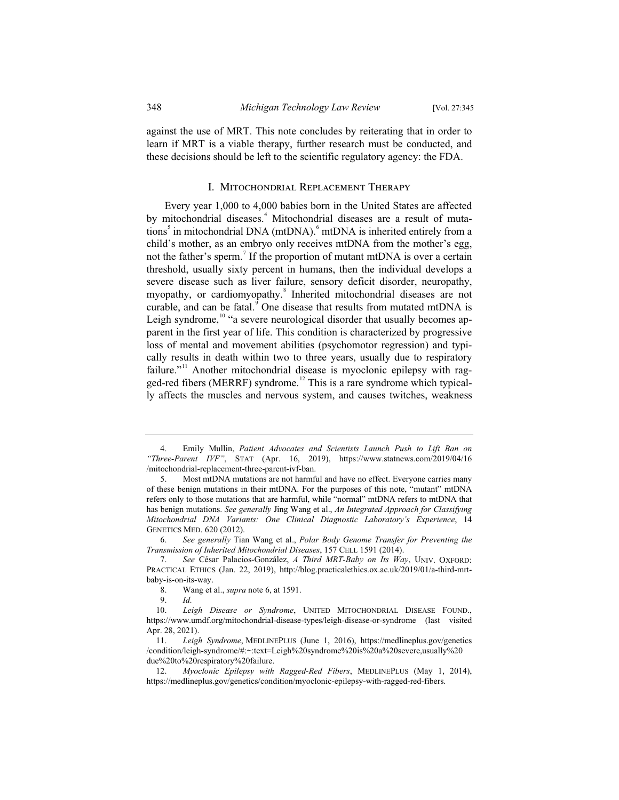against the use of MRT. This note concludes by reiterating that in order to learn if MRT is a viable therapy, further research must be conducted, and these decisions should be left to the scientific regulatory agency: the FDA.

#### I. Mitochondrial Replacement Therapy

Every year 1,000 to 4,000 babies born in the United States are affected by mitochondrial diseases.<sup>4</sup> Mitochondrial diseases are a result of mutations<sup>5</sup> in mitochondrial DNA (mtDNA).<sup>6</sup> mtDNA is inherited entirely from a child's mother, as an embryo only receives mtDNA from the mother's egg, not the father's sperm.<sup>7</sup> If the proportion of mutant mtDNA is over a certain threshold, usually sixty percent in humans, then the individual develops a severe disease such as liver failure, sensory deficit disorder, neuropathy, myopathy, or cardiomyopathy.<sup>8</sup> Inherited mitochondrial diseases are not curable, and can be fatal. $\degree$  One disease that results from mutated mtDNA is Leigh syndrome,<sup>10</sup> "a severe neurological disorder that usually becomes apparent in the first year of life. This condition is characterized by progressive loss of mental and movement abilities (psychomotor regression) and typically results in death within two to three years, usually due to respiratory failure."<sup>11</sup> Another mitochondrial disease is myoclonic epilepsy with ragged-red fibers (MERRF) syndrome.<sup>12</sup> This is a rare syndrome which typically affects the muscles and nervous system, and causes twitches, weakness

<sup>4.</sup> Emily Mullin, *Patient Advocates and Scientists Launch Push to Lift Ban on "Three-Parent IVF"*, STAT (Apr. 16, 2019), https://www.statnews.com/2019/04/16 /mitochondrial-replacement-three-parent-ivf-ban.

<sup>5.</sup> Most mtDNA mutations are not harmful and have no effect. Everyone carries many of these benign mutations in their mtDNA. For the purposes of this note, "mutant" mtDNA refers only to those mutations that are harmful, while "normal" mtDNA refers to mtDNA that has benign mutations. *See generally* Jing Wang et al., *An Integrated Approach for Classifying Mitochondrial DNA Variants: One Clinical Diagnostic Laboratory's Experience*, 14 GENETICS MED. 620 (2012).

<sup>6.</sup> *See generally* Tian Wang et al., *Polar Body Genome Transfer for Preventing the Transmission of Inherited Mitochondrial Diseases*, 157 CELL 1591 (2014).

<sup>7.</sup> *See* César Palacios-González, *A Third MRT-Baby on Its Way*, UNIV. OXFORD: PRACTICAL ETHICS (Jan. 22, 2019), http://blog.practicalethics.ox.ac.uk/2019/01/a-third-mrtbaby-is-on-its-way.

<sup>8.</sup> Wang et al., *supra* note 6, at 1591.

<sup>9.</sup> *Id.*

Leigh Disease or Syndrome, UNITED MITOCHONDRIAL DISEASE FOUND., https://www.umdf.org/mitochondrial-disease-types/leigh-disease-or-syndrome (last visited Apr. 28, 2021).

<sup>11.</sup> *Leigh Syndrome*, MEDLINEPLUS (June 1, 2016), https://medlineplus.gov/genetics /condition/leigh-syndrome/#:~:text=Leigh%20syndrome%20is%20a%20severe,usually%20 due%20to%20respiratory%20failure.

<sup>12.</sup> *Myoclonic Epilepsy with Ragged-Red Fibers*, MEDLINEPLUS (May 1, 2014), https://medlineplus.gov/genetics/condition/myoclonic-epilepsy-with-ragged-red-fibers.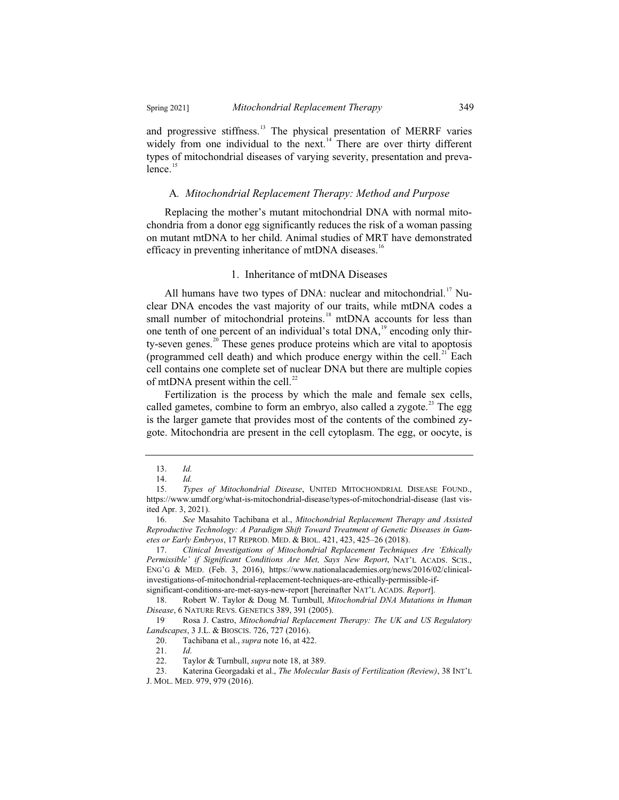and progressive stiffness.<sup>13</sup> The physical presentation of MERRF varies widely from one individual to the next.<sup>14</sup> There are over thirty different types of mitochondrial diseases of varying severity, presentation and preva $l$ ence.<sup>15</sup>

#### A*. Mitochondrial Replacement Therapy: Method and Purpose*

Replacing the mother's mutant mitochondrial DNA with normal mitochondria from a donor egg significantly reduces the risk of a woman passing on mutant mtDNA to her child. Animal studies of MRT have demonstrated efficacy in preventing inheritance of mtDNA diseases.<sup>16</sup>

#### 1. Inheritance of mtDNA Diseases

All humans have two types of DNA: nuclear and mitochondrial.<sup>17</sup> Nuclear DNA encodes the vast majority of our traits, while mtDNA codes a small number of mitochondrial proteins.<sup>18</sup> mtDNA accounts for less than one tenth of one percent of an individual's total DNA,<sup>19</sup> encoding only thirty-seven genes.<sup>20</sup> These genes produce proteins which are vital to apoptosis (programmed cell death) and which produce energy within the cell. $^{21}$  Each cell contains one complete set of nuclear DNA but there are multiple copies of mtDNA present within the cell.<sup>22</sup>

Fertilization is the process by which the male and female sex cells, called gametes, combine to form an embryo, also called a zygote.<sup>23</sup> The egg is the larger gamete that provides most of the contents of the combined zygote. Mitochondria are present in the cell cytoplasm. The egg, or oocyte, is

significant-conditions-are-met-says-new-report [hereinafter NAT'L ACADS. *Report*].

<sup>13.</sup> *Id.*

<sup>14.</sup>  $Id.$ <br>15  $Tw$ 

<sup>15.</sup> *Types of Mitochondrial Disease*, UNITED MITOCHONDRIAL DISEASE FOUND., https://www.umdf.org/what-is-mitochondrial-disease/types-of-mitochondrial-disease (last visited Apr. 3, 2021).

<sup>16.</sup> *See* Masahito Tachibana et al., *Mitochondrial Replacement Therapy and Assisted Reproductive Technology: A Paradigm Shift Toward Treatment of Genetic Diseases in Gametes or Early Embryos*, 17 REPROD. MED.&BIOL. 421, 423, 425–26 (2018).

<sup>17.</sup> *Clinical Investigations of Mitochondrial Replacement Techniques Are 'Ethically Permissible' if Significant Conditions Are Met, Says New Report*, NAT'L ACADS. SCIS., ENG'G & MED. (Feb. 3, 2016), https://www.nationalacademies.org/news/2016/02/clinicalinvestigations-of-mitochondrial-replacement-techniques-are-ethically-permissible-if-

<sup>18.</sup> Robert W. Taylor & Doug M. Turnbull, *Mitochondrial DNA Mutations in Human Disease*, 6 NATURE REVS. GENETICS 389, 391 (2005).

<sup>19</sup>. Rosa J. Castro, *Mitochondrial Replacement Therapy: The UK and US Regulatory Landscapes*, 3 J.L. & BIOSCIS. 726, 727 (2016).<br>20. Tachibana et al., *supra* note 16, at 42.

<sup>20.</sup> Tachibana et al., *supra* note 16, at 422.

<sup>21.</sup> *Id.*

<sup>22.</sup> Taylor & Turnbull, *supra* note 18, at 389.

<sup>23.</sup> Katerina Georgadaki et al., *The Molecular Basis of Fertilization (Review)*, 38 INT'L J. MOL. MED. 979, 979 (2016).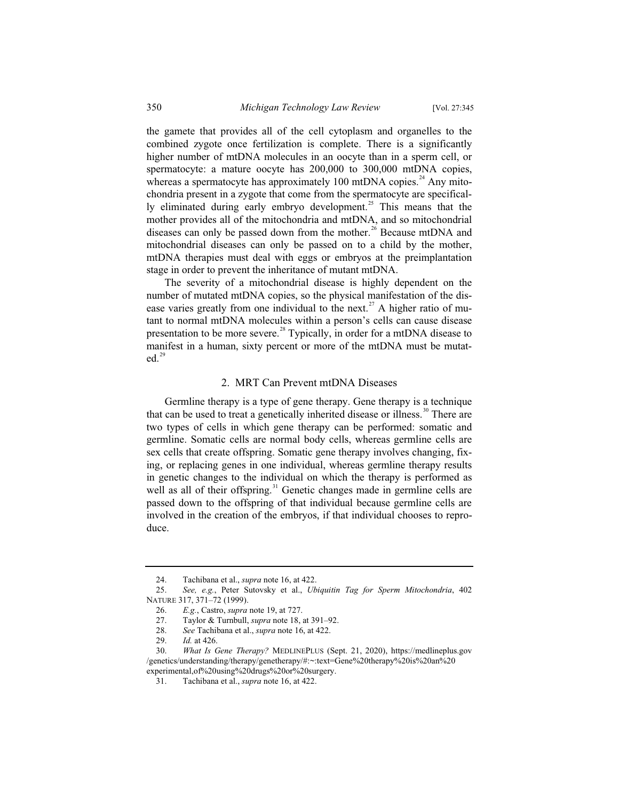the gamete that provides all of the cell cytoplasm and organelles to the combined zygote once fertilization is complete. There is a significantly higher number of mtDNA molecules in an oocyte than in a sperm cell, or spermatocyte: a mature oocyte has 200,000 to 300,000 mtDNA copies, whereas a spermatocyte has approximately 100 mtDNA copies. $^{24}$  Any mitochondria present in a zygote that come from the spermatocyte are specifically eliminated during early embryo development.<sup>25</sup> This means that the mother provides all of the mitochondria and mtDNA, and so mitochondrial diseases can only be passed down from the mother.<sup>26</sup> Because mtDNA and mitochondrial diseases can only be passed on to a child by the mother, mtDNA therapies must deal with eggs or embryos at the preimplantation stage in order to prevent the inheritance of mutant mtDNA.

The severity of a mitochondrial disease is highly dependent on the number of mutated mtDNA copies, so the physical manifestation of the disease varies greatly from one individual to the next.<sup>27</sup> A higher ratio of mutant to normal mtDNA molecules within a person's cells can cause disease presentation to be more severe.<sup>28</sup> Typically, in order for a mtDNA disease to manifest in a human, sixty percent or more of the mtDNA must be mutat $ed.$ <sup>29</sup>

#### 2. MRT Can Prevent mtDNA Diseases

Germline therapy is a type of gene therapy. Gene therapy is a technique that can be used to treat a genetically inherited disease or illness.<sup>30</sup> There are two types of cells in which gene therapy can be performed: somatic and germline. Somatic cells are normal body cells, whereas germline cells are sex cells that create offspring. Somatic gene therapy involves changing, fixing, or replacing genes in one individual, whereas germline therapy results in genetic changes to the individual on which the therapy is performed as well as all of their offspring.<sup>31</sup> Genetic changes made in germline cells are passed down to the offspring of that individual because germline cells are involved in the creation of the embryos, if that individual chooses to reproduce.

<sup>24.</sup> Tachibana et al., *supra* note 16, at 422.

<sup>25.</sup> *See, e.g.*, Peter Sutovsky et al., *Ubiquitin Tag for Sperm Mitochondria*, 402 NATURE 317, 371–72 (1999).

<sup>26.</sup> *E.g.*, Castro, *supra* note 19, at 727.

<sup>27.</sup> Taylor & Turnbull, *supra* note 18, at 391–92.

<sup>28.</sup> *See* Tachibana et al., *supra* note 16, at 422.

*Id.* at 426.

<sup>30.</sup> *What Is Gene Therapy?* MEDLINEPLUS (Sept. 21, 2020), https://medlineplus.gov /genetics/understanding/therapy/genetherapy/#:~:text=Gene%20therapy%20is%20an%20 experimental,of%20using%20drugs%20or%20surgery.

<sup>31.</sup> Tachibana et al., *supra* note 16, at 422.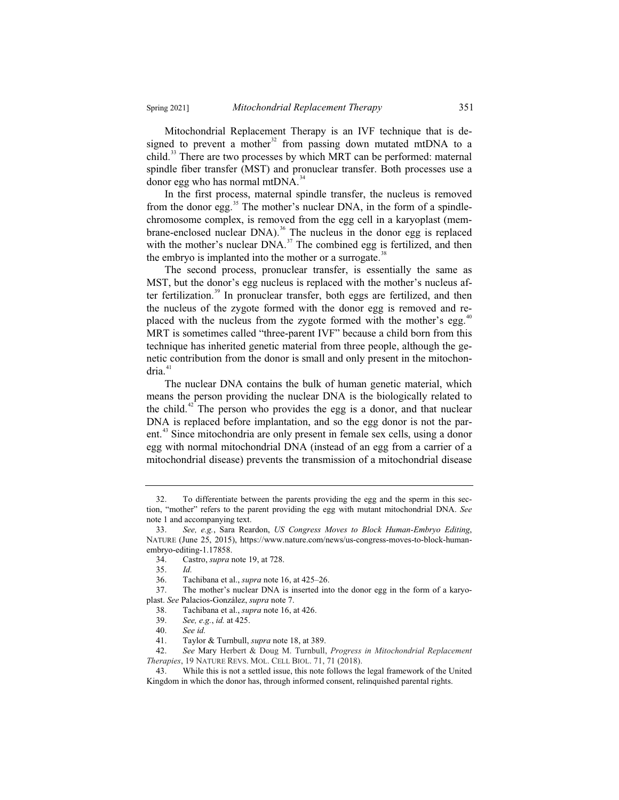Mitochondrial Replacement Therapy is an IVF technique that is designed to prevent a mother<sup>32</sup> from passing down mutated mtDNA to a child.<sup>33</sup> There are two processes by which MRT can be performed: maternal spindle fiber transfer (MST) and pronuclear transfer. Both processes use a donor egg who has normal mtDNA. $^{34}$ 

In the first process, maternal spindle transfer, the nucleus is removed from the donor egg. $35$  The mother's nuclear DNA, in the form of a spindlechromosome complex, is removed from the egg cell in a karyoplast (membrane-enclosed nuclear DNA).<sup>36</sup> The nucleus in the donor egg is replaced with the mother's nuclear DNA.<sup>37</sup> The combined egg is fertilized, and then the embryo is implanted into the mother or a surrogate.<sup>38</sup>

The second process, pronuclear transfer, is essentially the same as MST, but the donor's egg nucleus is replaced with the mother's nucleus after fertilization. $39$  In pronuclear transfer, both eggs are fertilized, and then the nucleus of the zygote formed with the donor egg is removed and replaced with the nucleus from the zygote formed with the mother's egg.<sup>41</sup> MRT is sometimes called "three-parent IVF" because a child born from this technique has inherited genetic material from three people, although the genetic contribution from the donor is small and only present in the mitochon $dria.<sup>41</sup>$ 

The nuclear DNA contains the bulk of human genetic material, which means the person providing the nuclear DNA is the biologically related to the child.<sup>42</sup> The person who provides the egg is a donor, and that nuclear DNA is replaced before implantation, and so the egg donor is not the parent.<sup>43</sup> Since mitochondria are only present in female sex cells, using a donor egg with normal mitochondrial DNA (instead of an egg from a carrier of a mitochondrial disease) prevents the transmission of a mitochondrial disease

<sup>32.</sup> To differentiate between the parents providing the egg and the sperm in this section, "mother" refers to the parent providing the egg with mutant mitochondrial DNA. *See*  note 1 and accompanying text.

<sup>33.</sup> *See, e.g.*, Sara Reardon, *US Congress Moves to Block Human-Embryo Editing*, NATURE (June 25, 2015), https://www.nature.com/news/us-congress-moves-to-block-humanembryo-editing-1.17858.

<sup>34.</sup> Castro, *supra* note 19, at 728.

<sup>35.</sup> *Id.*

<sup>36.</sup> Tachibana et al., *supra* note 16, at 425–26.

<sup>37.</sup> The mother's nuclear DNA is inserted into the donor egg in the form of a karyoplast. *See* Palacios-González, *supra* note 7.

<sup>38.</sup> Tachibana et al., *supra* note 16, at 426.

<sup>39.</sup> *See, e.g.*, *id.* at 425.

<sup>40.</sup> *See id.*

<sup>41.</sup> Taylor & Turnbull, *supra* note 18, at 389.

<sup>42.</sup> *See* Mary Herbert & Doug M. Turnbull, *Progress in Mitochondrial Replacement Therapies*, 19 NATURE REVS. MOL. CELL BIOL. 71, 71 (2018).

<sup>43.</sup> While this is not a settled issue, this note follows the legal framework of the United Kingdom in which the donor has, through informed consent, relinquished parental rights.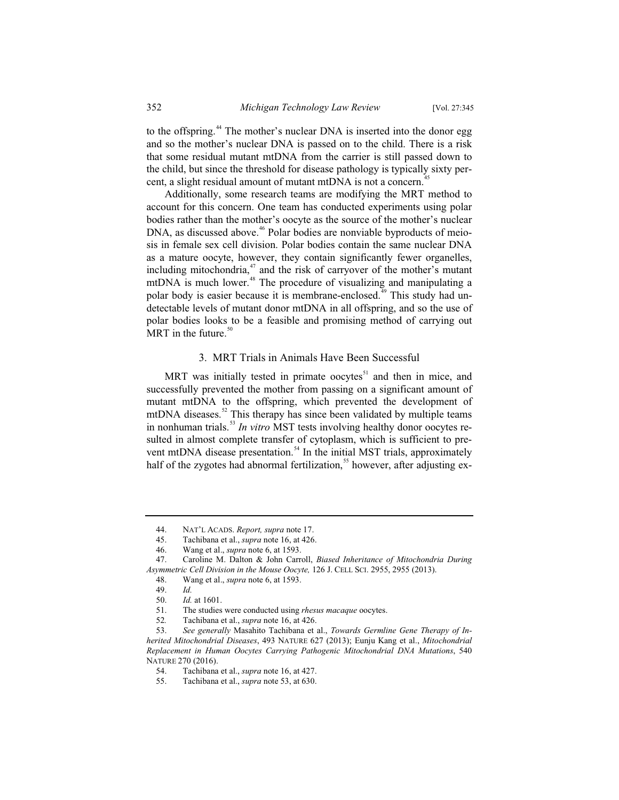to the offspring.<sup>44</sup> The mother's nuclear DNA is inserted into the donor egg and so the mother's nuclear DNA is passed on to the child. There is a risk that some residual mutant mtDNA from the carrier is still passed down to the child, but since the threshold for disease pathology is typically sixty percent, a slight residual amount of mutant mtDNA is not a concern.<sup>4</sup>

Additionally, some research teams are modifying the MRT method to account for this concern. One team has conducted experiments using polar bodies rather than the mother's oocyte as the source of the mother's nuclear DNA, as discussed above.<sup>46</sup> Polar bodies are nonviable byproducts of meiosis in female sex cell division. Polar bodies contain the same nuclear DNA as a mature oocyte, however, they contain significantly fewer organelles, including mitochondria, $47$  and the risk of carryover of the mother's mutant mtDNA is much lower.<sup>48</sup> The procedure of visualizing and manipulating a polar body is easier because it is membrane-enclosed.<sup>49</sup> This study had undetectable levels of mutant donor mtDNA in all offspring, and so the use of polar bodies looks to be a feasible and promising method of carrying out MRT in the future.<sup>50</sup>

#### 3. MRT Trials in Animals Have Been Successful

MRT was initially tested in primate oocytes $51$  and then in mice, and successfully prevented the mother from passing on a significant amount of mutant mtDNA to the offspring, which prevented the development of mtDNA diseases.<sup>52</sup> This therapy has since been validated by multiple teams in nonhuman trials.<sup>53</sup> *In vitro* MST tests involving healthy donor oocytes resulted in almost complete transfer of cytoplasm, which is sufficient to prevent mtDNA disease presentation.<sup>54</sup> In the initial MST trials, approximately half of the zygotes had abnormal fertilization,<sup>55</sup> however, after adjusting ex-

<sup>44.</sup> NAT'L ACADS. *Report, supra* note 17.

<sup>45.</sup> Tachibana et al., *supra* note 16, at 426.

<sup>46.</sup> Wang et al., *supra* note 6, at 1593.

<sup>47.</sup> Caroline M. Dalton & John Carroll, *Biased Inheritance of Mitochondria During Asymmetric Cell Division in the Mouse Oocyte,* 126 J. CELL SCI. 2955, 2955 (2013).

<sup>48.</sup> Wang et al., *supra* note 6, at 1593.

<sup>49.</sup> *Id.*

<sup>50.</sup> *Id.* at 1601.

The studies were conducted using *rhesus macaque* oocytes.

<sup>52</sup>*.* Tachibana et al., *supra* note 16, at 426.

<sup>53.</sup> *See generally* Masahito Tachibana et al., *Towards Germline Gene Therapy of Inherited Mitochondrial Diseases*, 493 NATURE 627 (2013); Eunju Kang et al., *Mitochondrial Replacement in Human Oocytes Carrying Pathogenic Mitochondrial DNA Mutations*, 540 NATURE 270 (2016).<br>54. Tachibana

<sup>54.</sup> Tachibana et al., *supra* note 16, at 427.

<sup>55.</sup> Tachibana et al., *supra* note 53, at 630.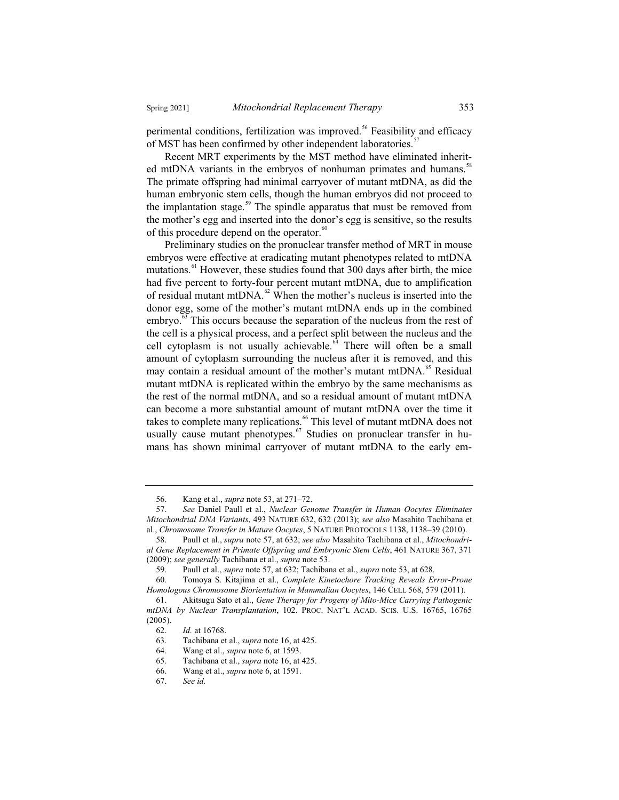perimental conditions, fertilization was improved.<sup>56</sup> Feasibility and efficacy of MST has been confirmed by other independent laboratories.<sup>5</sup>

Recent MRT experiments by the MST method have eliminated inherited mtDNA variants in the embryos of nonhuman primates and humans.<sup>58</sup> The primate offspring had minimal carryover of mutant mtDNA, as did the human embryonic stem cells, though the human embryos did not proceed to the implantation stage.<sup>59</sup> The spindle apparatus that must be removed from the mother's egg and inserted into the donor's egg is sensitive, so the results of this procedure depend on the operator.<sup>60</sup>

Preliminary studies on the pronuclear transfer method of MRT in mouse embryos were effective at eradicating mutant phenotypes related to mtDNA mutations.<sup>61</sup> However, these studies found that 300 days after birth, the mice had five percent to forty-four percent mutant mtDNA, due to amplification of residual mutant mtDNA.<sup>62</sup> When the mother's nucleus is inserted into the donor egg, some of the mother's mutant mtDNA ends up in the combined embryo.<sup>63</sup> This occurs because the separation of the nucleus from the rest of the cell is a physical process, and a perfect split between the nucleus and the cell cytoplasm is not usually achievable. $64$  There will often be a small amount of cytoplasm surrounding the nucleus after it is removed, and this may contain a residual amount of the mother's mutant mtDNA.<sup>65</sup> Residual mutant mtDNA is replicated within the embryo by the same mechanisms as the rest of the normal mtDNA, and so a residual amount of mutant mtDNA can become a more substantial amount of mutant mtDNA over the time it takes to complete many replications.<sup>66</sup> This level of mutant mtDNA does not usually cause mutant phenotypes. $67$  Studies on pronuclear transfer in humans has shown minimal carryover of mutant mtDNA to the early em-

<sup>56.</sup> Kang et al., *supra* note 53, at 271–72.

<sup>57.</sup> *See* Daniel Paull et al., *Nuclear Genome Transfer in Human Oocytes Eliminates Mitochondrial DNA Variants*, 493 NATURE 632, 632 (2013); *see also* Masahito Tachibana et al., *Chromosome Transfer in Mature Oocytes*, 5 NATURE PROTOCOLS 1138, 1138–39 (2010).

<sup>58.</sup> Paull et al., *supra* note 57, at 632; *see also* Masahito Tachibana et al., *Mitochondrial Gene Replacement in Primate Offspring and Embryonic Stem Cells*, 461 NATURE 367, 371 (2009); *see generally* Tachibana et al., *supra* note 53.

<sup>59.</sup> Paull et al., *supra* note 57, at 632; Tachibana et al., *supra* note 53, at 628.

<sup>60.</sup> Tomoya S. Kitajima et al., *Complete Kinetochore Tracking Reveals Error-Prone Homologous Chromosome Biorientation in Mammalian Oocytes*, 146 CELL 568, 579 (2011).

<sup>61.</sup> Akitsugu Sato et al., *Gene Therapy for Progeny of Mito-Mice Carrying Pathogenic mtDNA by Nuclear Transplantation*, 102. PROC. NAT'L ACAD. SCIS. U.S. 16765, 16765 (2005).

<sup>62.</sup> *Id.* at 16768.

<sup>63.</sup> Tachibana et al., *supra* note 16, at 425.

<sup>64.</sup> Wang et al., *supra* note 6, at 1593.

<sup>65.</sup> Tachibana et al., *supra* note 16, at 425.

<sup>66.</sup> Wang et al., *supra* note 6, at 1591.

<sup>67.</sup> *See id.*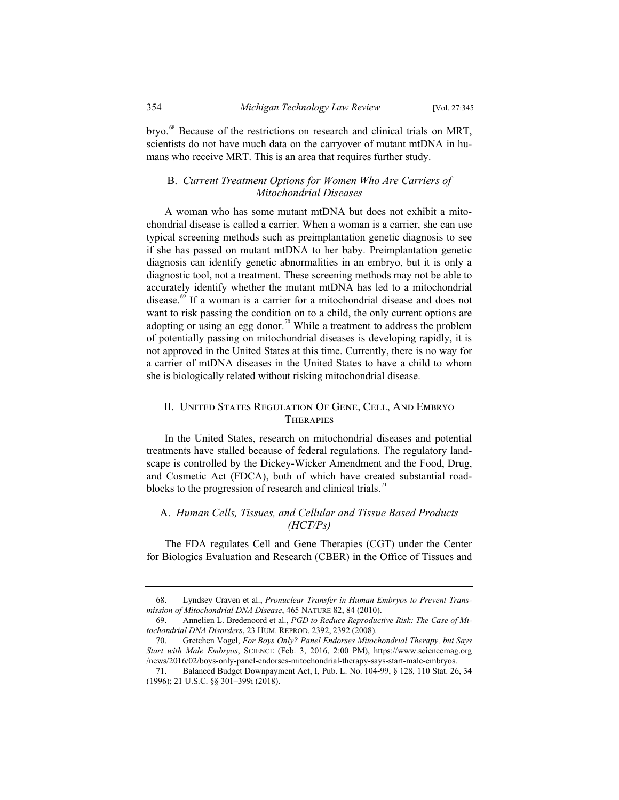bryo.<sup>68</sup> Because of the restrictions on research and clinical trials on MRT, scientists do not have much data on the carryover of mutant mtDNA in humans who receive MRT. This is an area that requires further study.

## B. *Current Treatment Options for Women Who Are Carriers of Mitochondrial Diseases*

A woman who has some mutant mtDNA but does not exhibit a mitochondrial disease is called a carrier. When a woman is a carrier, she can use typical screening methods such as preimplantation genetic diagnosis to see if she has passed on mutant mtDNA to her baby. Preimplantation genetic diagnosis can identify genetic abnormalities in an embryo, but it is only a diagnostic tool, not a treatment. These screening methods may not be able to accurately identify whether the mutant mtDNA has led to a mitochondrial disease.<sup>69</sup> If a woman is a carrier for a mitochondrial disease and does not want to risk passing the condition on to a child, the only current options are adopting or using an egg donor.<sup>70</sup> While a treatment to address the problem of potentially passing on mitochondrial diseases is developing rapidly, it is not approved in the United States at this time. Currently, there is no way for a carrier of mtDNA diseases in the United States to have a child to whom she is biologically related without risking mitochondrial disease.

## II. United States Regulation Of Gene, Cell, And Embryo **THERAPIES**

In the United States, research on mitochondrial diseases and potential treatments have stalled because of federal regulations. The regulatory landscape is controlled by the Dickey-Wicker Amendment and the Food, Drug, and Cosmetic Act (FDCA), both of which have created substantial roadblocks to the progression of research and clinical trials.<sup>71</sup>

## A. *Human Cells, Tissues, and Cellular and Tissue Based Products (HCT/Ps)*

The FDA regulates Cell and Gene Therapies (CGT) under the Center for Biologics Evaluation and Research (CBER) in the Office of Tissues and

<sup>68.</sup> Lyndsey Craven et al., *Pronuclear Transfer in Human Embryos to Prevent Transmission of Mitochondrial DNA Disease*, 465 NATURE 82, 84 (2010).

<sup>69.</sup> Annelien L. Bredenoord et al., *PGD to Reduce Reproductive Risk: The Case of Mitochondrial DNA Disorders*, 23 HUM. REPROD. 2392, 2392 (2008).

<sup>70.</sup> Gretchen Vogel, *For Boys Only? Panel Endorses Mitochondrial Therapy, but Says Start with Male Embryos*, SCIENCE (Feb. 3, 2016, 2:00 PM), https://www.sciencemag.org /news/2016/02/boys-only-panel-endorses-mitochondrial-therapy-says-start-male-embryos.

<sup>71.</sup> Balanced Budget Downpayment Act, I, Pub. L. No. 104-99, § 128, 110 Stat. 26, 34 (1996); 21 U.S.C. §§ 301–399i (2018).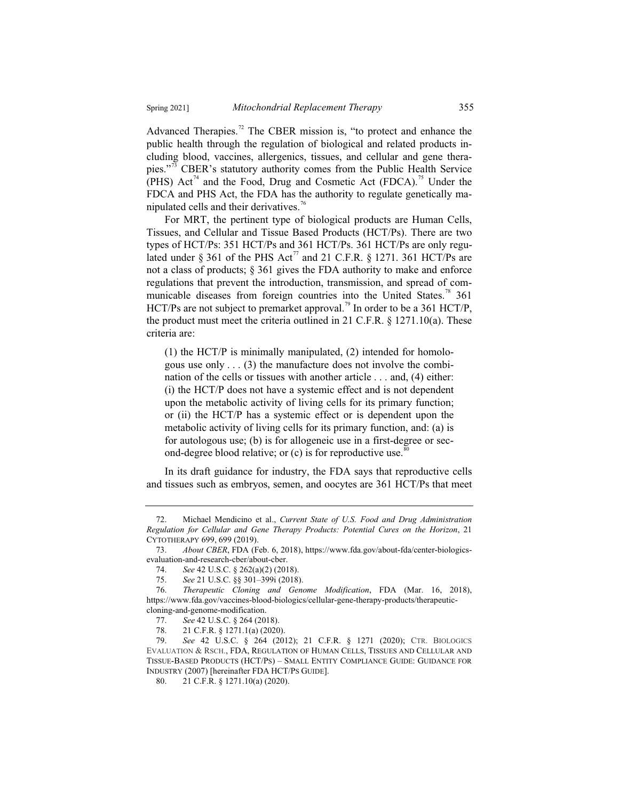Advanced Therapies.<sup>72</sup> The CBER mission is, "to protect and enhance the public health through the regulation of biological and related products including blood, vaccines, allergenics, tissues, and cellular and gene therapies."<sup>73</sup> CBER's statutory authority comes from the Public Health Service (PHS)  $\text{Act}^{\frac{74}{4}}$  and the Food, Drug and Cosmetic Act (FDCA).<sup>75</sup> Under the FDCA and PHS Act, the FDA has the authority to regulate genetically manipulated cells and their derivatives.<sup>76</sup>

For MRT, the pertinent type of biological products are Human Cells, Tissues, and Cellular and Tissue Based Products (HCT/Ps). There are two types of HCT/Ps: 351 HCT/Ps and 361 HCT/Ps. 361 HCT/Ps are only regulated under § 361 of the PHS Act<sup>77</sup> and 21 C.F.R. § 1271. 361 HCT/Ps are not a class of products; § 361 gives the FDA authority to make and enforce regulations that prevent the introduction, transmission, and spread of communicable diseases from foreign countries into the United States.<sup>78</sup> 361 HCT/Ps are not subject to premarket approval.<sup>79</sup> In order to be a 361 HCT/P, the product must meet the criteria outlined in 21 C.F.R. § 1271.10(a). These criteria are:

(1) the HCT/P is minimally manipulated, (2) intended for homologous use only  $\dots$  (3) the manufacture does not involve the combination of the cells or tissues with another article . . . and, (4) either: (i) the HCT/P does not have a systemic effect and is not dependent upon the metabolic activity of living cells for its primary function; or (ii) the HCT/P has a systemic effect or is dependent upon the metabolic activity of living cells for its primary function, and: (a) is for autologous use; (b) is for allogeneic use in a first-degree or second-degree blood relative; or  $(c)$  is for reproductive use.<sup>8</sup>

In its draft guidance for industry, the FDA says that reproductive cells and tissues such as embryos, semen, and oocytes are 361 HCT/Ps that meet

<sup>72.</sup> Michael Mendicino et al., *Current State of U.S. Food and Drug Administration Regulation for Cellular and Gene Therapy Products: Potential Cures on the Horizon*, 21 CYTOTHERAPY 699, 699 (2019).

<sup>73.</sup> *About CBER*, FDA (Feb. 6, 2018), https://www.fda.gov/about-fda/center-biologicsevaluation-and-research-cber/about-cber.

<sup>74.</sup> *See* 42 U.S.C. § 262(a)(2) (2018).

<sup>75.</sup> *See* 21 U.S.C. §§ 301–399i (2018).

<sup>76.</sup> *Therapeutic Cloning and Genome Modification*, FDA (Mar. 16, 2018), https://www.fda.gov/vaccines-blood-biologics/cellular-gene-therapy-products/therapeuticcloning-and-genome-modification.

<sup>77.</sup> *See* 42 U.S.C. § 264 (2018).

<sup>78. 21</sup> C.F.R. § 1271.1(a) (2020).<br>79. See 42 U.S.C. § 264 (201 79. *See* 42 U.S.C. § 264 (2012); 21 C.F.R. § 1271 (2020); CTR. BIOLOGICS EVALUATION & RSCH., FDA, REGULATION OF HUMAN CELLS, TISSUES AND CELLULAR AND TISSUE-BASED PRODUCTS (HCT/PS)–SMALL ENTITY COMPLIANCE GUIDE: GUIDANCE FOR INDUSTRY (2007) [hereinafter FDA HCT/PS GUIDE].

<sup>80. 21</sup> C.F.R. § 1271.10(a) (2020).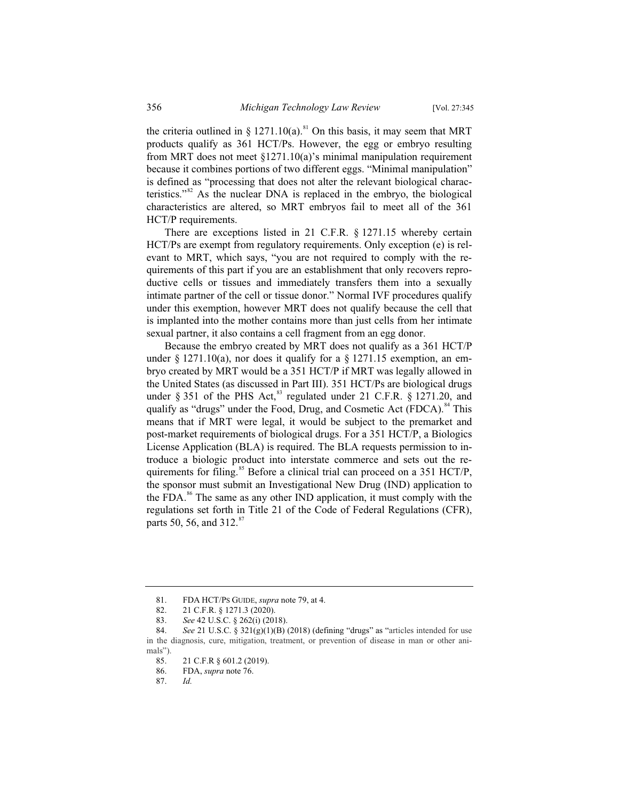the criteria outlined in § 1271.10(a).<sup>81</sup> On this basis, it may seem that MRT products qualify as 361 HCT/Ps. However, the egg or embryo resulting from MRT does not meet  $\S 1271.10(a)$ 's minimal manipulation requirement because it combines portions of two different eggs. "Minimal manipulation" is defined as "processing that does not alter the relevant biological characteristics."<sup>82</sup> As the nuclear DNA is replaced in the embryo, the biological characteristics are altered, so MRT embryos fail to meet all of the 361 HCT/P requirements.

There are exceptions listed in 21 C.F.R. § 1271.15 whereby certain HCT/Ps are exempt from regulatory requirements. Only exception (e) is relevant to MRT, which says, "you are not required to comply with the requirements of this part if you are an establishment that only recovers reproductive cells or tissues and immediately transfers them into a sexually intimate partner of the cell or tissue donor." Normal IVF procedures qualify under this exemption, however MRT does not qualify because the cell that is implanted into the mother contains more than just cells from her intimate sexual partner, it also contains a cell fragment from an egg donor.

Because the embryo created by MRT does not qualify as a 361 HCT/P under  $\S$  1271.10(a), nor does it qualify for a  $\S$  1271.15 exemption, an embryo created by MRT would be a 351 HCT/P if MRT was legally allowed in the United States (as discussed in Part III). 351 HCT/Ps are biological drugs under § 351 of the PHS Act,<sup>83</sup> regulated under 21 C.F.R. § 1271.20, and qualify as "drugs" under the Food, Drug, and Cosmetic Act (FDCA).<sup>84</sup> This means that if MRT were legal, it would be subject to the premarket and post-market requirements of biological drugs. For a 351 HCT/P, a Biologics License Application (BLA) is required. The BLA requests permission to introduce a biologic product into interstate commerce and sets out the requirements for filing.<sup>85</sup> Before a clinical trial can proceed on a 351 HCT/P, the sponsor must submit an Investigational New Drug (IND) application to the FDA.<sup>86</sup> The same as any other IND application, it must comply with the regulations set forth in Title 21 of the Code of Federal Regulations (CFR), parts 50, 56, and  $312.^{8}$ 

<sup>81.</sup> FDA HCT/PS GUIDE, *supra* note 79, at 4.<br>82. 21 C.F.R. § 1271.3 (2020).

<sup>82. 21</sup> C.F.R. § 1271.3 (2020).

<sup>83.</sup> *See* 42 U.S.C. § 262(i) (2018).

<sup>84.</sup> *See* 21 U.S.C. § 321(g)(1)(B) (2018) (defining "drugs" as "articles intended for use in the diagnosis, cure, mitigation, treatment, or prevention of disease in man or other animals").

<sup>85. 21</sup> C.F.R § 601.2 (2019).<br>86. FDA, *supra* note 76.

<sup>86.</sup> FDA, *supra* note 76.

<sup>87.</sup> *Id.*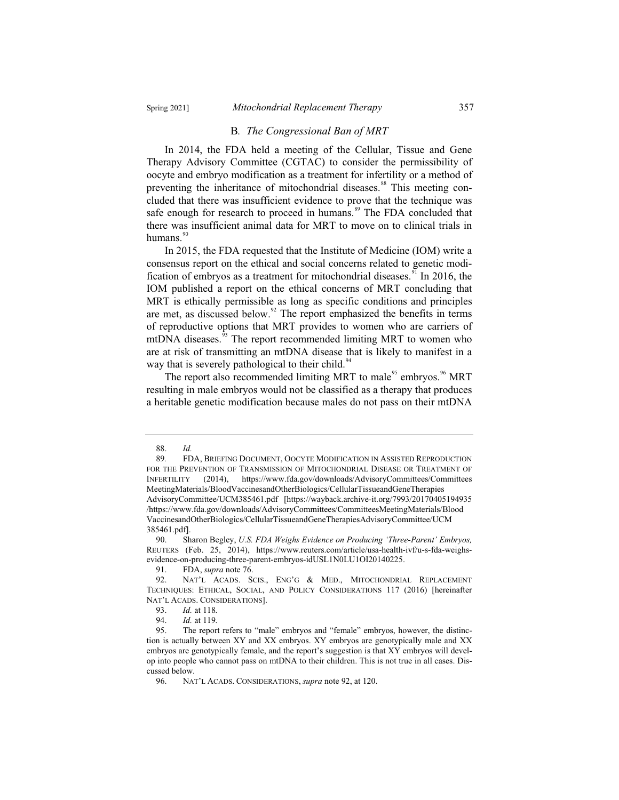#### B*. The Congressional Ban of MRT*

In 2014, the FDA held a meeting of the Cellular, Tissue and Gene Therapy Advisory Committee (CGTAC) to consider the permissibility of oocyte and embryo modification as a treatment for infertility or a method of preventing the inheritance of mitochondrial diseases.<sup>88</sup> This meeting concluded that there was insufficient evidence to prove that the technique was safe enough for research to proceed in humans.<sup>89</sup> The FDA concluded that there was insufficient animal data for MRT to move on to clinical trials in humans. $90$ 

In 2015, the FDA requested that the Institute of Medicine (IOM) write a consensus report on the ethical and social concerns related to genetic modification of embryos as a treatment for mitochondrial diseases.<sup>91</sup> In 2016, the IOM published a report on the ethical concerns of MRT concluding that MRT is ethically permissible as long as specific conditions and principles are met, as discussed below. $^{92}$  The report emphasized the benefits in terms of reproductive options that MRT provides to women who are carriers of mtDNA diseases.<sup>93</sup> The report recommended limiting MRT to women who are at risk of transmitting an mtDNA disease that is likely to manifest in a way that is severely pathological to their child.<sup>94</sup>

The report also recommended limiting MRT to male<sup>95</sup> embryos.<sup>96</sup> MRT resulting in male embryos would not be classified as a therapy that produces a heritable genetic modification because males do not pass on their mtDNA

<sup>88.</sup> *Id.*

<sup>89</sup>*.* FDA, BRIEFING DOCUMENT, OOCYTE MODIFICATION IN ASSISTED REPRODUCTION FOR THE PREVENTION OF TRANSMISSION OF MITOCHONDRIAL DISEASE OR TREATMENT OF INFERTILITY (2014), https://www.fda.gov/downloads/AdvisoryCommittees/Committees MeetingMaterials/BloodVaccinesandOtherBiologics/CellularTissueandGeneTherapies AdvisoryCommittee/UCM385461.pdf [https://wayback.archive-it.org/7993/20170405194935 /https://www.fda.gov/downloads/AdvisoryCommittees/CommitteesMeetingMaterials/Blood VaccinesandOtherBiologics/CellularTissueandGeneTherapiesAdvisoryCommittee/UCM 385461.pdf].

<sup>90.</sup> Sharon Begley, *U.S. FDA Weighs Evidence on Producing 'Three-Parent' Embryos,*  REUTERS (Feb. 25, 2014), https://www.reuters.com/article/usa-health-ivf/u-s-fda-weighsevidence-on-producing-three-parent-embryos-idUSL1N0LU1OI20140225.

<sup>91.</sup> FDA, *supra* note 76.

NAT'L ACADS. SCIS., ENG'G & MED., MITOCHONDRIAL REPLACEMENT TECHNIQUES: ETHICAL, SOCIAL, AND POLICY CONSIDERATIONS 117 (2016) [hereinafter NAT'L ACADS. CONSIDERATIONS].<br>93. Id. at 118.

<sup>93.</sup> *Id.* at 118*.*

<sup>94.</sup> *Id.* at 119*.*

<sup>95.</sup> The report refers to "male" embryos and "female" embryos, however, the distinction is actually between XY and XX embryos. XY embryos are genotypically male and XX embryos are genotypically female, and the report's suggestion is that XY embryos will develop into people who cannot pass on mtDNA to their children. This is not true in all cases. Discussed below.

<sup>96.</sup> NAT'L ACADS. CONSIDERATIONS, *supra* note 92, at 120.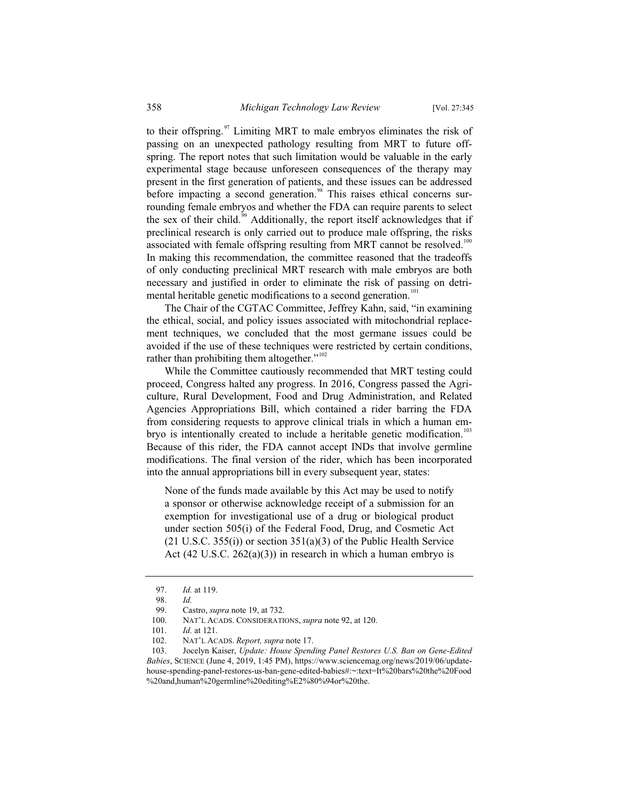to their offspring. $97$  Limiting MRT to male embryos eliminates the risk of passing on an unexpected pathology resulting from MRT to future offspring. The report notes that such limitation would be valuable in the early experimental stage because unforeseen consequences of the therapy may present in the first generation of patients, and these issues can be addressed before impacting a second generation.<sup>98</sup> This raises ethical concerns surrounding female embryos and whether the FDA can require parents to select the sex of their child.<sup>59</sup> Additionally, the report itself acknowledges that if preclinical research is only carried out to produce male offspring, the risks associated with female offspring resulting from MRT cannot be resolved.<sup>100</sup> In making this recommendation, the committee reasoned that the tradeoffs of only conducting preclinical MRT research with male embryos are both necessary and justified in order to eliminate the risk of passing on detrimental heritable genetic modifications to a second generation.<sup>101</sup>

The Chair of the CGTAC Committee, Jeffrey Kahn, said, "in examining the ethical, social, and policy issues associated with mitochondrial replacement techniques, we concluded that the most germane issues could be avoided if the use of these techniques were restricted by certain conditions, rather than prohibiting them altogether." $102$ 

While the Committee cautiously recommended that MRT testing could proceed, Congress halted any progress. In 2016, Congress passed the Agriculture, Rural Development, Food and Drug Administration, and Related Agencies Appropriations Bill, which contained a rider barring the FDA from considering requests to approve clinical trials in which a human embryo is intentionally created to include a heritable genetic modification.<sup>103</sup> Because of this rider, the FDA cannot accept INDs that involve germline modifications. The final version of the rider, which has been incorporated into the annual appropriations bill in every subsequent year, states:

None of the funds made available by this Act may be used to notify a sponsor or otherwise acknowledge receipt of a submission for an exemption for investigational use of a drug or biological product under section 505(i) of the Federal Food, Drug, and Cosmetic Act  $(21 \text{ U.S.C. } 355(i))$  or section  $351(a)(3)$  of the Public Health Service Act  $(42 \text{ U.S.C. } 262(a)(3))$  in research in which a human embryo is

<sup>97.</sup> *Id.* at 119.

<sup>98.</sup> *Id.*

Castro, *supra* note 19, at 732.

<sup>100.</sup> NAT'L ACADS. CONSIDERATIONS, *supra* note 92, at 120.

<sup>101.</sup> *Id.* at 121.<br>102. **NAT'L AC** 

<sup>102.</sup> NAT'L ACADS. *Report, supra* note 17.

<sup>103.</sup> Jocelyn Kaiser, *Update: House Spending Panel Restores U.S. Ban on Gene-Edited Babies*, SCIENCE (June 4, 2019, 1:45 PM), https://www.sciencemag.org/news/2019/06/updatehouse-spending-panel-restores-us-ban-gene-edited-babies#:~:text=It%20bars%20the%20Food %20and,human%20germline%20editing%E2%80%94or%20the.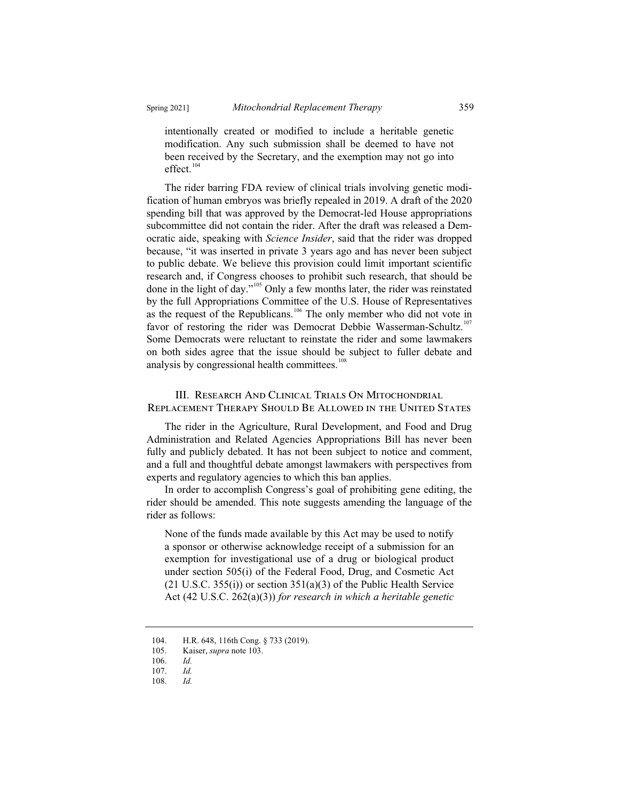intentionally created or modified to include a heritable genetic modification. Any such submission shall be deemed to have not been received by the Secretary, and the exemption may not go into effect.<sup>104</sup>

The rider barring FDA review of clinical trials involving genetic modification of human embryos was briefly repealed in 2019. A draft of the 2020 spending bill that was approved by the Democrat-led House appropriations subcommittee did not contain the rider. After the draft was released a Democratic aide, speaking with *Science Insider*, said that the rider was dropped because, "it was inserted in private 3 years ago and has never been subject to public debate. We believe this provision could limit important scientific research and, if Congress chooses to prohibit such research, that should be done in the light of day."<sup>105</sup> Only a few months later, the rider was reinstated by the full Appropriations Committee of the U.S. House of Representatives as the request of the Republicans.<sup>106</sup> The only member who did not vote in favor of restoring the rider was Democrat Debbie Wasserman-Schultz.<sup>107</sup> Some Democrats were reluctant to reinstate the rider and some lawmakers on both sides agree that the issue should be subject to fuller debate and analysis by congressional health committees.<sup>108</sup>

## III. RESEARCH AND CLINICAL TRIALS ON MITOCHONDRIAL Replacement Therapy Should Be Allowed in the United States

The rider in the Agriculture, Rural Development, and Food and Drug Administration and Related Agencies Appropriations Bill has never been fully and publicly debated. It has not been subject to notice and comment, and a full and thoughtful debate amongst lawmakers with perspectives from experts and regulatory agencies to which this ban applies.

In order to accomplish Congress's goal of prohibiting gene editing, the rider should be amended. This note suggests amending the language of the rider as follows:

None of the funds made available by this Act may be used to notify a sponsor or otherwise acknowledge receipt of a submission for an exemption for investigational use of a drug or biological product under section 505(i) of the Federal Food, Drug, and Cosmetic Act  $(21 \text{ U.S.C. } 355(i))$  or section  $351(a)(3)$  of the Public Health Service Act (42 U.S.C. 262(a)(3)) *for research in which a heritable genetic* 

<sup>104.</sup> H.R. 648, 116th Cong. § 733 (2019).

<sup>105.</sup> Kaiser, *supra* note 103.

<sup>106.</sup> *Id.*

<sup>107.</sup> *Id.*

<sup>108.</sup> *Id.*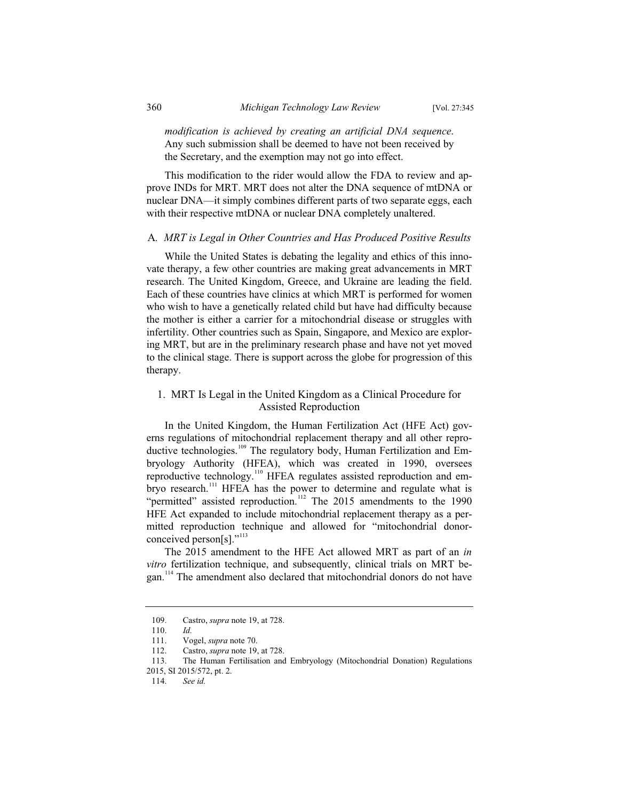*modification is achieved by creating an artificial DNA sequence*. Any such submission shall be deemed to have not been received by the Secretary, and the exemption may not go into effect.

This modification to the rider would allow the FDA to review and approve INDs for MRT. MRT does not alter the DNA sequence of mtDNA or nuclear DNA—it simply combines different parts of two separate eggs, each with their respective mtDNA or nuclear DNA completely unaltered.

#### A*. MRT is Legal in Other Countries and Has Produced Positive Results*

While the United States is debating the legality and ethics of this innovate therapy, a few other countries are making great advancements in MRT research. The United Kingdom, Greece, and Ukraine are leading the field. Each of these countries have clinics at which MRT is performed for women who wish to have a genetically related child but have had difficulty because the mother is either a carrier for a mitochondrial disease or struggles with infertility. Other countries such as Spain, Singapore, and Mexico are exploring MRT, but are in the preliminary research phase and have not yet moved to the clinical stage. There is support across the globe for progression of this therapy.

## 1. MRT Is Legal in the United Kingdom as a Clinical Procedure for Assisted Reproduction

In the United Kingdom, the Human Fertilization Act (HFE Act) governs regulations of mitochondrial replacement therapy and all other reproductive technologies.<sup>109</sup> The regulatory body, Human Fertilization and Embryology Authority (HFEA), which was created in 1990, oversees reproductive technology.<sup>110</sup> HFEA regulates assisted reproduction and embryo research.<sup>111</sup> HFEA has the power to determine and regulate what is "permitted" assisted reproduction.<sup>112</sup> The 2015 amendments to the 1990 HFE Act expanded to include mitochondrial replacement therapy as a permitted reproduction technique and allowed for "mitochondrial donorconceived person[s]."<sup>113</sup>

The 2015 amendment to the HFE Act allowed MRT as part of an *in vitro* fertilization technique, and subsequently, clinical trials on MRT began.<sup>114</sup> The amendment also declared that mitochondrial donors do not have

<sup>109.</sup> Castro, *supra* note 19, at 728.

<sup>110.</sup> *Id.*

<sup>111.</sup> Vogel, *supra* note 70.

<sup>112.</sup> Castro, *supra* note 19, at 728.

<sup>113.</sup> The Human Fertilisation and Embryology (Mitochondrial Donation) Regulations

<sup>2015,</sup> SI 2015/572, pt. 2.

<sup>114.</sup> *See id.*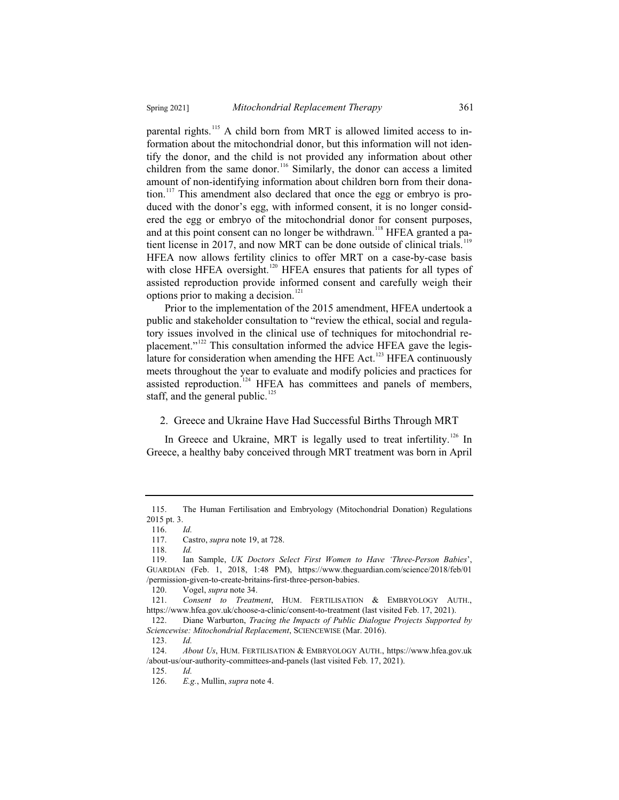parental rights.<sup>115</sup> A child born from MRT is allowed limited access to information about the mitochondrial donor, but this information will not identify the donor, and the child is not provided any information about other children from the same donor.<sup>116</sup> Similarly, the donor can access a limited amount of non-identifying information about children born from their donation.<sup>117</sup> This amendment also declared that once the egg or embryo is produced with the donor's egg, with informed consent, it is no longer considered the egg or embryo of the mitochondrial donor for consent purposes, and at this point consent can no longer be withdrawn.<sup>118</sup> HFEA granted a patient license in 2017, and now MRT can be done outside of clinical trials.<sup>119</sup> HFEA now allows fertility clinics to offer MRT on a case-by-case basis with close HFEA oversight.<sup>120</sup> HFEA ensures that patients for all types of assisted reproduction provide informed consent and carefully weigh their

options prior to making a decision.<sup>121</sup> Prior to the implementation of the 2015 amendment, HFEA undertook a public and stakeholder consultation to "review the ethical, social and regulatory issues involved in the clinical use of techniques for mitochondrial replacement."<sup>122</sup> This consultation informed the advice HFEA gave the legislature for consideration when amending the HFE Act.<sup>123</sup> HFEA continuously meets throughout the year to evaluate and modify policies and practices for assisted reproduction.<sup>124</sup> HFEA has committees and panels of members, staff, and the general public. $^{125}$ 

#### 2. Greece and Ukraine Have Had Successful Births Through MRT

In Greece and Ukraine, MRT is legally used to treat infertility.<sup>126</sup> In Greece, a healthy baby conceived through MRT treatment was born in April

<sup>115.</sup> The Human Fertilisation and Embryology (Mitochondrial Donation) Regulations 2015 pt. 3.

<sup>116.</sup> *Id.*

<sup>117.</sup> Castro, *supra* note 19, at 728.

<sup>118.</sup> *Id.*

<sup>119.</sup> Ian Sample, *UK Doctors Select First Women to Have 'Three-Person Babies*', GUARDIAN (Feb. 1, 2018, 1:48 PM), https://www.theguardian.com/science/2018/feb/01 /permission-given-to-create-britains-first-three-person-babies.

<sup>120.</sup> Vogel, *supra* note 34.

<sup>121.</sup> *Consent to Treatment*, HUM. FERTILISATION & EMBRYOLOGY AUTH., https://www.hfea.gov.uk/choose-a-clinic/consent-to-treatment (last visited Feb. 17, 2021).

<sup>122.</sup> Diane Warburton, *Tracing the Impacts of Public Dialogue Projects Supported by Sciencewise: Mitochondrial Replacement*, SCIENCEWISE (Mar. 2016).

<sup>123.</sup> *Id.*

<sup>124.</sup> *About Us*, HUM. FERTILISATION & EMBRYOLOGY AUTH., https://www.hfea.gov.uk /about-us/our-authority-committees-and-panels (last visited Feb. 17, 2021).

<sup>125.</sup> *Id.*

<sup>126.</sup> *E.g.*, Mullin, *supra* note 4.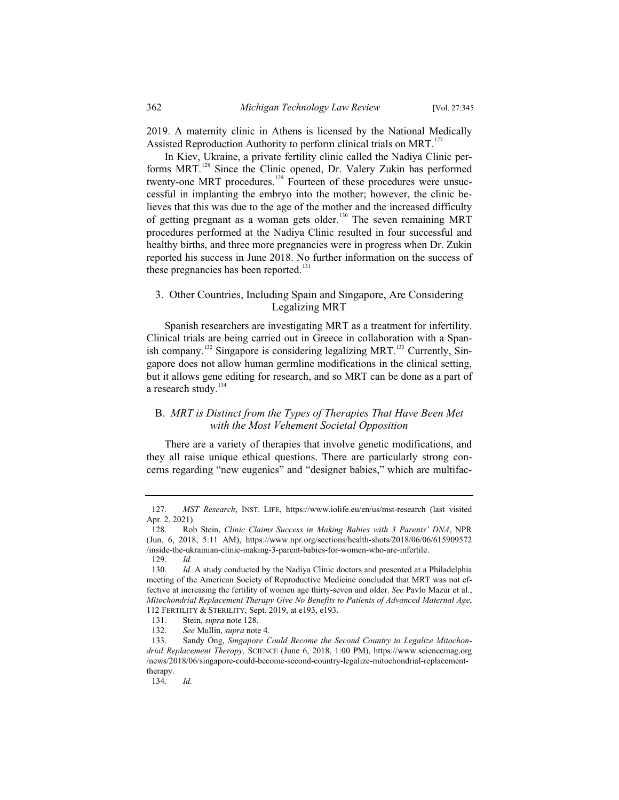2019. A maternity clinic in Athens is licensed by the National Medically Assisted Reproduction Authority to perform clinical trials on MRT.<sup>127</sup>

In Kiev, Ukraine, a private fertility clinic called the Nadiya Clinic performs MRT.<sup>128</sup> Since the Clinic opened, Dr. Valery Zukin has performed twenty-one MRT procedures.<sup>129</sup> Fourteen of these procedures were unsuccessful in implanting the embryo into the mother; however, the clinic believes that this was due to the age of the mother and the increased difficulty of getting pregnant as a woman gets older.<sup>130</sup> The seven remaining MRT procedures performed at the Nadiya Clinic resulted in four successful and healthy births, and three more pregnancies were in progress when Dr. Zukin reported his success in June 2018. No further information on the success of these pregnancies has been reported. $131$ 

### 3. Other Countries, Including Spain and Singapore, Are Considering Legalizing MRT

Spanish researchers are investigating MRT as a treatment for infertility. Clinical trials are being carried out in Greece in collaboration with a Spanish company.<sup>132</sup> Singapore is considering legalizing MRT.<sup>133</sup> Currently, Singapore does not allow human germline modifications in the clinical setting, but it allows gene editing for research, and so MRT can be done as a part of a research study.<sup>134</sup>

## B. *MRT is Distinct from the Types of Therapies That Have Been Met with the Most Vehement Societal Opposition*

There are a variety of therapies that involve genetic modifications, and they all raise unique ethical questions. There are particularly strong concerns regarding "new eugenics" and "designer babies," which are multifac-

<sup>127.</sup> *MST Research*, INST. LIFE, https://www.iolife.eu/en/us/mst-research (last visited Apr. 2, 2021).

<sup>128.</sup> Rob Stein, *Clinic Claims Success in Making Babies with 3 Parents' DNA*, NPR (Jun. 6, 2018, 5:11 AM), https://www.npr.org/sections/health-shots/2018/06/06/615909572 /inside-the-ukrainian-clinic-making-3-parent-babies-for-women-who-are-infertile.

<sup>129.</sup> *Id.*

<sup>130.</sup> *Id.* A study conducted by the Nadiya Clinic doctors and presented at a Philadelphia meeting of the American Society of Reproductive Medicine concluded that MRT was not effective at increasing the fertility of women age thirty-seven and older. *See* Pavlo Mazur et al., *Mitochondrial Replacement Therapy Give No Benefits to Patients of Advanced Maternal Age*, 112 FERTILITY & STERILITY, Sept. 2019, at e193, e193.

<sup>131.</sup> Stein, *supra* note 128.

<sup>132.</sup> *See* Mullin, *supra* note 4.

<sup>133.</sup> Sandy Ong, *Singapore Could Become the Second Country to Legalize Mitochondrial Replacement Therapy*, SCIENCE (June 6, 2018, 1:00 PM), https://www.sciencemag.org /news/2018/06/singapore-could-become-second-country-legalize-mitochondrial-replacementtherapy.

<sup>134.</sup> *Id.*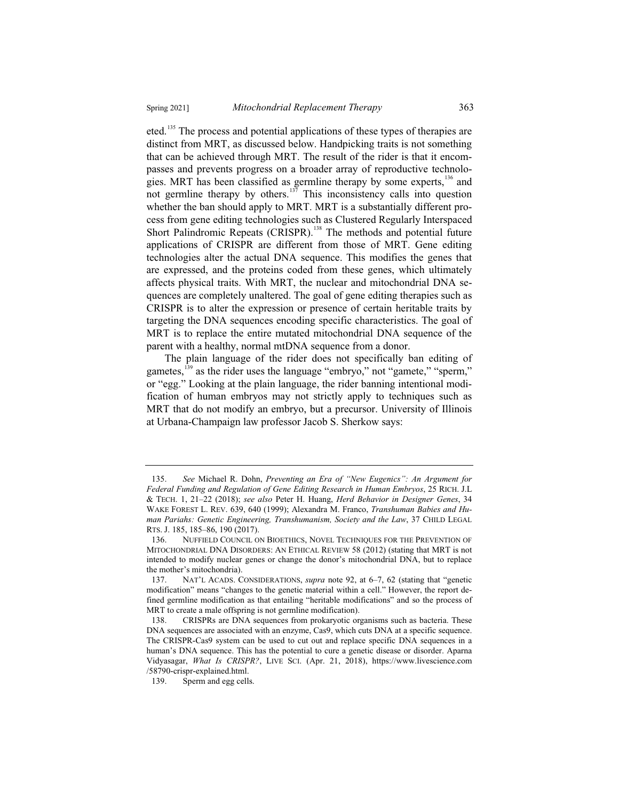eted.<sup>135</sup> The process and potential applications of these types of therapies are distinct from MRT, as discussed below. Handpicking traits is not something that can be achieved through MRT. The result of the rider is that it encompasses and prevents progress on a broader array of reproductive technologies. MRT has been classified as germline therapy by some experts,<sup>136</sup> and not germline therapy by others.<sup>137</sup> This inconsistency calls into question whether the ban should apply to MRT. MRT is a substantially different process from gene editing technologies such as Clustered Regularly Interspaced Short Palindromic Repeats (CRISPR).<sup>138</sup> The methods and potential future applications of CRISPR are different from those of MRT. Gene editing technologies alter the actual DNA sequence. This modifies the genes that are expressed, and the proteins coded from these genes, which ultimately affects physical traits. With MRT, the nuclear and mitochondrial DNA sequences are completely unaltered. The goal of gene editing therapies such as CRISPR is to alter the expression or presence of certain heritable traits by targeting the DNA sequences encoding specific characteristics. The goal of MRT is to replace the entire mutated mitochondrial DNA sequence of the parent with a healthy, normal mtDNA sequence from a donor.

The plain language of the rider does not specifically ban editing of gametes,<sup>139</sup> as the rider uses the language "embryo," not "gamete," "sperm," or "egg." Looking at the plain language, the rider banning intentional modification of human embryos may not strictly apply to techniques such as MRT that do not modify an embryo, but a precursor. University of Illinois at Urbana-Champaign law professor Jacob S. Sherkow says:

<sup>135.</sup> *See* Michael R. Dohn, *Preventing an Era of "New Eugenics": An Argument for Federal Funding and Regulation of Gene Editing Research in Human Embryos*, 25 RICH. J.L & TECH. 1, 21–22 (2018); *see also* Peter H. Huang, *Herd Behavior in Designer Genes*, 34 WAKE FOREST L. REV. 639, 640 (1999); Alexandra M. Franco, *Transhuman Babies and Human Pariahs: Genetic Engineering, Transhumanism, Society and the Law*, 37 CHILD LEGAL RTS. J. 185, 185–86, 190 (2017).

<sup>136.</sup> NUFFIELD COUNCIL ON BIOETHICS, NOVEL TECHNIQUES FOR THE PREVENTION OF MITOCHONDRIAL DNA DISORDERS: AN ETHICAL REVIEW 58 (2012) (stating that MRT is not intended to modify nuclear genes or change the donor's mitochondrial DNA, but to replace the mother's mitochondria).

<sup>137.</sup> NAT'L ACADS. CONSIDERATIONS, *supra* note 92, at 6–7, 62 (stating that "genetic modification" means "changes to the genetic material within a cell." However, the report defined germline modification as that entailing "heritable modifications" and so the process of MRT to create a male offspring is not germline modification).

<sup>138.</sup> CRISPRs are DNA sequences from prokaryotic organisms such as bacteria. These DNA sequences are associated with an enzyme, Cas9, which cuts DNA at a specific sequence. The CRISPR-Cas9 system can be used to cut out and replace specific DNA sequences in a human's DNA sequence. This has the potential to cure a genetic disease or disorder. Aparna Vidyasagar, *What Is CRISPR?*, LIVE SCI. (Apr. 21, 2018), https://www.livescience.com /58790-crispr-explained.html.

<sup>139.</sup> Sperm and egg cells.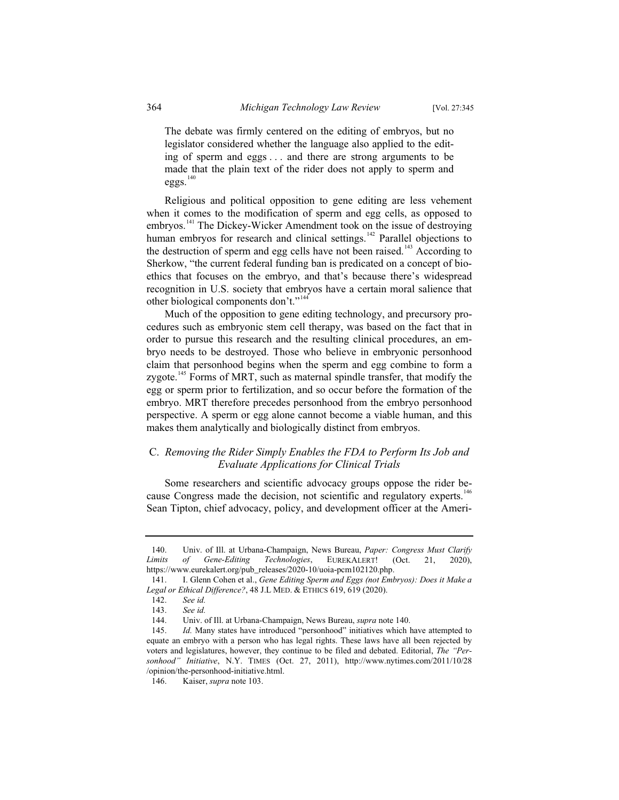The debate was firmly centered on the editing of embryos, but no legislator considered whether the language also applied to the editing of sperm and eggs . . . and there are strong arguments to be made that the plain text of the rider does not apply to sperm and eggs.<sup>140</sup>

Religious and political opposition to gene editing are less vehement when it comes to the modification of sperm and egg cells, as opposed to embryos.<sup>141</sup> The Dickey-Wicker Amendment took on the issue of destroying human embryos for research and clinical settings.<sup>142</sup> Parallel objections to the destruction of sperm and egg cells have not been raised.<sup>143</sup> According to Sherkow, "the current federal funding ban is predicated on a concept of bioethics that focuses on the embryo, and that's because there's widespread recognition in U.S. society that embryos have a certain moral salience that other biological components don't."<sup>144</sup>

Much of the opposition to gene editing technology, and precursory procedures such as embryonic stem cell therapy, was based on the fact that in order to pursue this research and the resulting clinical procedures, an embryo needs to be destroyed. Those who believe in embryonic personhood claim that personhood begins when the sperm and egg combine to form a zygote.<sup>145</sup> Forms of MRT, such as maternal spindle transfer, that modify the egg or sperm prior to fertilization, and so occur before the formation of the embryo. MRT therefore precedes personhood from the embryo personhood perspective. A sperm or egg alone cannot become a viable human, and this makes them analytically and biologically distinct from embryos.

## C. *Removing the Rider Simply Enables the FDA to Perform Its Job and Evaluate Applications for Clinical Trials*

Some researchers and scientific advocacy groups oppose the rider because Congress made the decision, not scientific and regulatory experts.<sup>146</sup> Sean Tipton, chief advocacy, policy, and development officer at the Ameri-

<sup>140.</sup> Univ. of Ill. at Urbana-Champaign, News Bureau, *Paper: Congress Must Clarify Limits of Gene-Editing Technologies*, EUREKALERT! (Oct. 21, 2020), https://www.eurekalert.org/pub\_releases/2020-10/uoia-pcm102120.php.

<sup>141.</sup> I. Glenn Cohen et al., *Gene Editing Sperm and Eggs (not Embryos): Does it Make a*  Legal or Ethical Difference?, 48 J.L MED. & ETHICS 619, 619 (2020).

<sup>142.</sup> *See id.*

See id.

<sup>144.</sup> Univ. of Ill. at Urbana-Champaign, News Bureau, *supra* note 140.

<sup>145.</sup> *Id.* Many states have introduced "personhood" initiatives which have attempted to equate an embryo with a person who has legal rights. These laws have all been rejected by voters and legislatures, however, they continue to be filed and debated. Editorial, *The "Personhood" Initiative*, N.Y. TIMES (Oct. 27, 2011), http://www.nytimes.com/2011/10/28 /opinion/the-personhood-initiative.html.

<sup>146.</sup> Kaiser, *supra* note 103.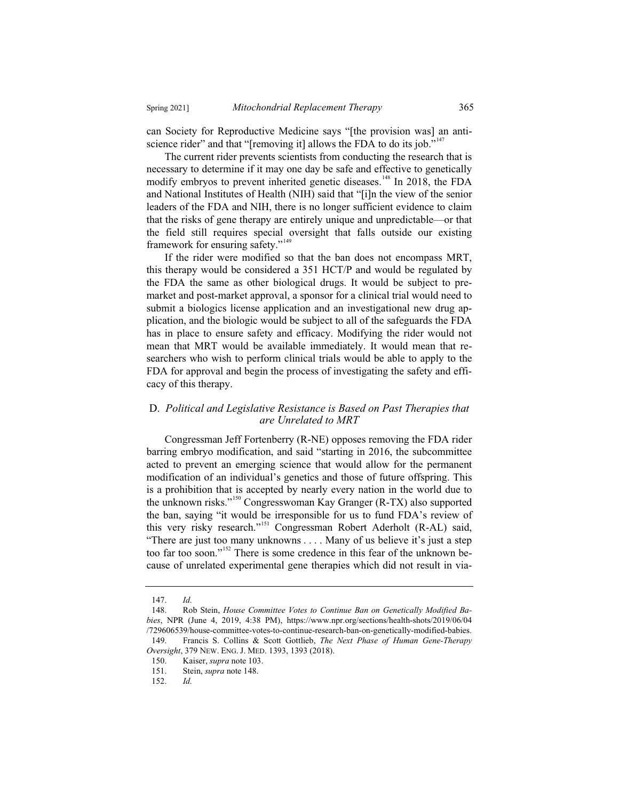can Society for Reproductive Medicine says "[the provision was] an antiscience rider" and that "[removing it] allows the FDA to do its job."<sup>147</sup>

The current rider prevents scientists from conducting the research that is necessary to determine if it may one day be safe and effective to genetically modify embryos to prevent inherited genetic diseases.<sup>148</sup> In 2018, the FDA and National Institutes of Health (NIH) said that "[i]n the view of the senior leaders of the FDA and NIH, there is no longer sufficient evidence to claim that the risks of gene therapy are entirely unique and unpredictable—or that the field still requires special oversight that falls outside our existing framework for ensuring safety."<sup>149</sup>

If the rider were modified so that the ban does not encompass MRT, this therapy would be considered a 351 HCT/P and would be regulated by the FDA the same as other biological drugs. It would be subject to premarket and post-market approval, a sponsor for a clinical trial would need to submit a biologics license application and an investigational new drug application, and the biologic would be subject to all of the safeguards the FDA has in place to ensure safety and efficacy. Modifying the rider would not mean that MRT would be available immediately. It would mean that researchers who wish to perform clinical trials would be able to apply to the FDA for approval and begin the process of investigating the safety and efficacy of this therapy.

## D. *Political and Legislative Resistance is Based on Past Therapies that are Unrelated to MRT*

Congressman Jeff Fortenberry (R-NE) opposes removing the FDA rider barring embryo modification, and said "starting in 2016, the subcommittee acted to prevent an emerging science that would allow for the permanent modification of an individual's genetics and those of future offspring. This is a prohibition that is accepted by nearly every nation in the world due to the unknown risks."<sup>150</sup> Congresswoman Kay Granger (R-TX) also supported the ban, saying "it would be irresponsible for us to fund FDA's review of this very risky research."<sup>151</sup> Congressman Robert Aderholt (R-AL) said, "There are just too many unknowns . . . . Many of us believe it's just a step too far too soon."<sup>152</sup> There is some credence in this fear of the unknown because of unrelated experimental gene therapies which did not result in via-

<sup>147.</sup> *Id.*

Rob Stein, *House Committee Votes to Continue Ban on Genetically Modified Babies*, NPR (June 4, 2019, 4:38 PM), https://www.npr.org/sections/health-shots/2019/06/04 /729606539/house-committee-votes-to-continue-research-ban-on-genetically-modified-babies. 149. Francis S. Collins & Scott Gottlieb, *The Next Phase of Human Gene-Therapy Oversight*, 379 NEW. ENG. J. MED. 1393, 1393 (2018).

<sup>150.</sup> Kaiser, *supra* note 103.

Stein, *supra* note 148.

<sup>152.</sup> *Id.*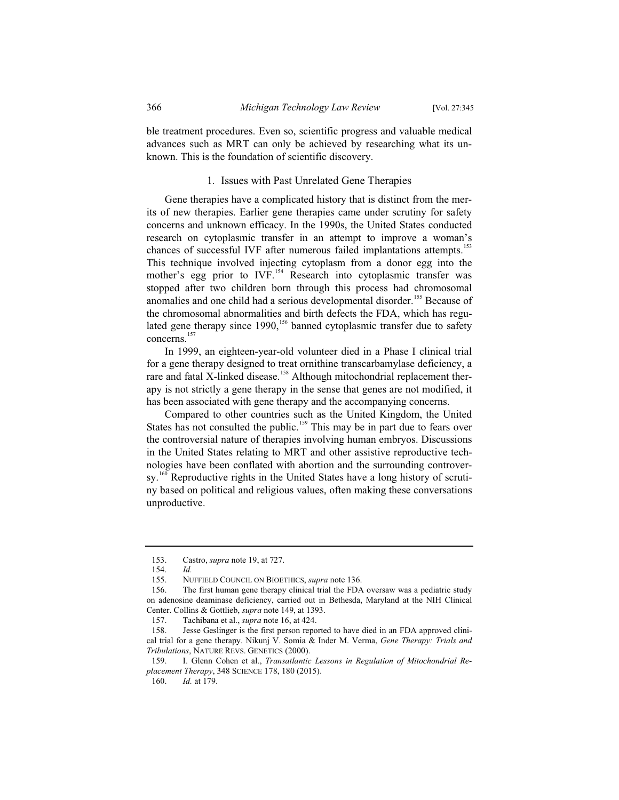ble treatment procedures. Even so, scientific progress and valuable medical advances such as MRT can only be achieved by researching what its unknown. This is the foundation of scientific discovery.

#### 1*.* Issues with Past Unrelated Gene Therapies

Gene therapies have a complicated history that is distinct from the merits of new therapies. Earlier gene therapies came under scrutiny for safety concerns and unknown efficacy. In the 1990s, the United States conducted research on cytoplasmic transfer in an attempt to improve a woman's chances of successful IVF after numerous failed implantations attempts.<sup>153</sup> This technique involved injecting cytoplasm from a donor egg into the mother's egg prior to IVF.<sup>154</sup> Research into cytoplasmic transfer was stopped after two children born through this process had chromosomal anomalies and one child had a serious developmental disorder.<sup>155</sup> Because of the chromosomal abnormalities and birth defects the FDA, which has regulated gene therapy since  $1990$ ,<sup>156</sup> banned cytoplasmic transfer due to safety concerns.<sup>15</sup>

In 1999, an eighteen-year-old volunteer died in a Phase I clinical trial for a gene therapy designed to treat ornithine transcarbamylase deficiency, a rare and fatal X-linked disease.<sup>158</sup> Although mitochondrial replacement therapy is not strictly a gene therapy in the sense that genes are not modified, it has been associated with gene therapy and the accompanying concerns.

Compared to other countries such as the United Kingdom, the United States has not consulted the public.<sup>159</sup> This may be in part due to fears over the controversial nature of therapies involving human embryos. Discussions in the United States relating to MRT and other assistive reproductive technologies have been conflated with abortion and the surrounding controversy.<sup>160</sup> Reproductive rights in the United States have a long history of scrutiny based on political and religious values, often making these conversations unproductive.

<sup>153.</sup> Castro, *supra* note 19, at 727.

<sup>154.</sup> *Id.*

<sup>155.</sup> NUFFIELD COUNCIL ON BIOETHICS, *supra* note 136.

<sup>156.</sup> The first human gene therapy clinical trial the FDA oversaw was a pediatric study on adenosine deaminase deficiency, carried out in Bethesda, Maryland at the NIH Clinical Center. Collins & Gottlieb, *supra* note 149, at 1393.

<sup>157.</sup> Tachibana et al., *supra* note 16, at 424.

<sup>158.</sup> Jesse Geslinger is the first person reported to have died in an FDA approved clinical trial for a gene therapy. Nikunj V. Somia & Inder M. Verma, *Gene Therapy: Trials and Tribulations*, NATURE REVS. GENETICS (2000).

<sup>159.</sup> I. Glenn Cohen et al., *Transatlantic Lessons in Regulation of Mitochondrial Replacement Therapy*, 348 SCIENCE 178, 180 (2015).

<sup>160.</sup> *Id.* at 179.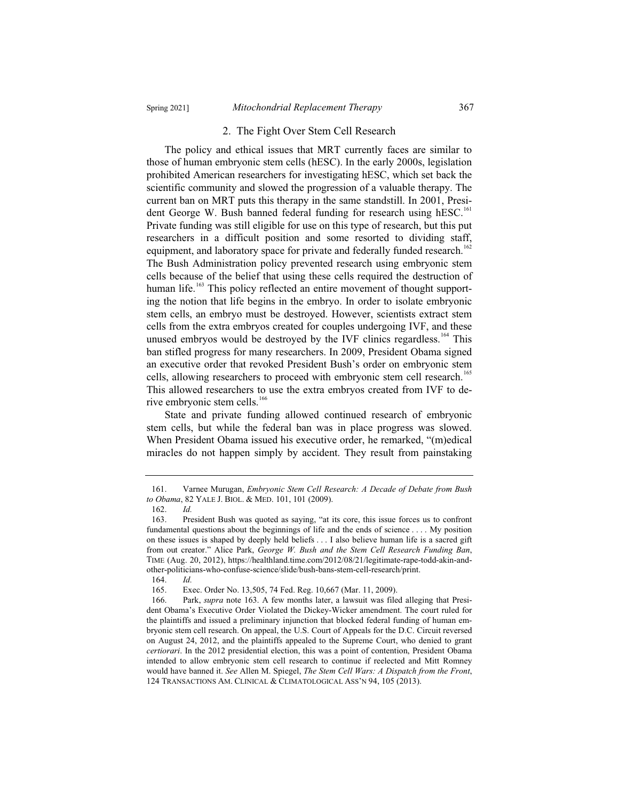### 2. The Fight Over Stem Cell Research

The policy and ethical issues that MRT currently faces are similar to those of human embryonic stem cells (hESC). In the early 2000s, legislation prohibited American researchers for investigating hESC, which set back the scientific community and slowed the progression of a valuable therapy. The current ban on MRT puts this therapy in the same standstill. In 2001, President George W. Bush banned federal funding for research using hESC.<sup>161</sup> Private funding was still eligible for use on this type of research, but this put researchers in a difficult position and some resorted to dividing staff, equipment, and laboratory space for private and federally funded research.<sup>162</sup> The Bush Administration policy prevented research using embryonic stem cells because of the belief that using these cells required the destruction of human life.<sup>163</sup> This policy reflected an entire movement of thought supporting the notion that life begins in the embryo. In order to isolate embryonic stem cells, an embryo must be destroyed. However, scientists extract stem cells from the extra embryos created for couples undergoing IVF, and these unused embryos would be destroyed by the IVF clinics regardless.<sup>164</sup> This ban stifled progress for many researchers. In 2009, President Obama signed an executive order that revoked President Bush's order on embryonic stem cells, allowing researchers to proceed with embryonic stem cell research.<sup>165</sup> This allowed researchers to use the extra embryos created from IVF to derive embryonic stem cells.<sup>166</sup>

State and private funding allowed continued research of embryonic stem cells, but while the federal ban was in place progress was slowed. When President Obama issued his executive order, he remarked, "(m)edical miracles do not happen simply by accident. They result from painstaking

<sup>161.</sup> Varnee Murugan, *Embryonic Stem Cell Research: A Decade of Debate from Bush*  to Obama, 82 YALE J. BIOL. & MED. 101, 101 (2009).

<sup>162.</sup> *Id.*

<sup>163.</sup> President Bush was quoted as saying, "at its core, this issue forces us to confront fundamental questions about the beginnings of life and the ends of science . . . . My position on these issues is shaped by deeply held beliefs . . . I also believe human life is a sacred gift from out creator." Alice Park, *George W. Bush and the Stem Cell Research Funding Ban*, TIME (Aug. 20, 2012), https://healthland.time.com/2012/08/21/legitimate-rape-todd-akin-andother-politicians-who-confuse-science/slide/bush-bans-stem-cell-research/print.

<sup>164.</sup> *Id.*

Exec. Order No. 13,505, 74 Fed. Reg. 10,667 (Mar. 11, 2009).

<sup>166.</sup> Park, *supra* note 163. A few months later, a lawsuit was filed alleging that President Obama's Executive Order Violated the Dickey-Wicker amendment. The court ruled for the plaintiffs and issued a preliminary injunction that blocked federal funding of human embryonic stem cell research. On appeal, the U.S. Court of Appeals for the D.C. Circuit reversed on August 24, 2012, and the plaintiffs appealed to the Supreme Court, who denied to grant *certiorari*. In the 2012 presidential election, this was a point of contention, President Obama intended to allow embryonic stem cell research to continue if reelected and Mitt Romney would have banned it. *See* Allen M. Spiegel, *The Stem Cell Wars: A Dispatch from the Front*, 124 TRANSACTIONS AM. CLINICAL & CLIMATOLOGICAL ASS'N 94, 105 (2013).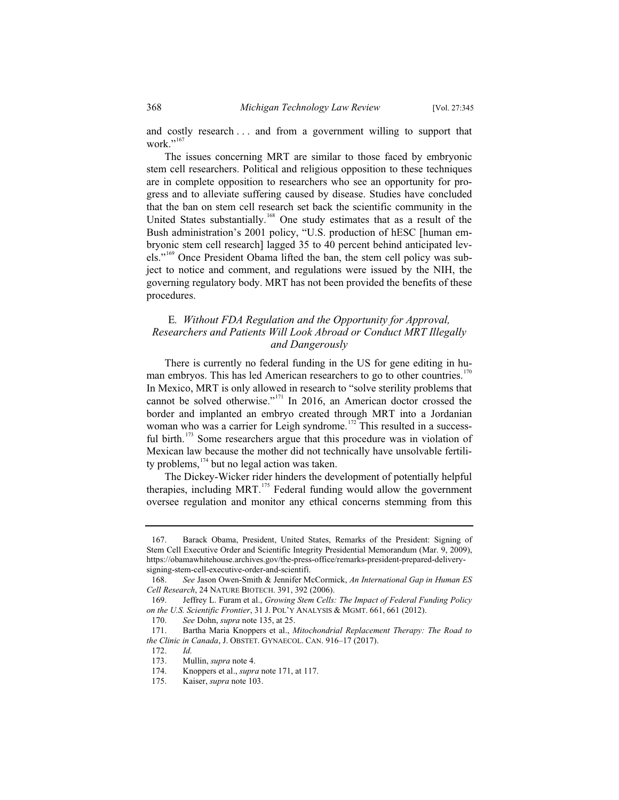and costly research . . . and from a government willing to support that work." $167$ 

The issues concerning MRT are similar to those faced by embryonic stem cell researchers. Political and religious opposition to these techniques are in complete opposition to researchers who see an opportunity for progress and to alleviate suffering caused by disease. Studies have concluded that the ban on stem cell research set back the scientific community in the United States substantially.<sup>168</sup> One study estimates that as a result of the Bush administration's 2001 policy, "U.S. production of hESC [human embryonic stem cell research] lagged 35 to 40 percent behind anticipated levels."<sup>169</sup> Once President Obama lifted the ban, the stem cell policy was subject to notice and comment, and regulations were issued by the NIH, the governing regulatory body. MRT has not been provided the benefits of these procedures.

## E*. Without FDA Regulation and the Opportunity for Approval, Researchers and Patients Will Look Abroad or Conduct MRT Illegally and Dangerously*

There is currently no federal funding in the US for gene editing in human embryos. This has led American researchers to go to other countries.<sup>170</sup> In Mexico, MRT is only allowed in research to "solve sterility problems that cannot be solved otherwise."<sup>171</sup> In 2016, an American doctor crossed the border and implanted an embryo created through MRT into a Jordanian woman who was a carrier for Leigh syndrome.<sup>172</sup> This resulted in a successful birth.<sup>173</sup> Some researchers argue that this procedure was in violation of Mexican law because the mother did not technically have unsolvable fertility problems,  $174$  but no legal action was taken.

The Dickey-Wicker rider hinders the development of potentially helpful therapies, including MRT. $175$  Federal funding would allow the government oversee regulation and monitor any ethical concerns stemming from this

<sup>167.</sup> Barack Obama, President, United States, Remarks of the President: Signing of Stem Cell Executive Order and Scientific Integrity Presidential Memorandum (Mar. 9, 2009), https://obamawhitehouse.archives.gov/the-press-office/remarks-president-prepared-deliverysigning-stem-cell-executive-order-and-scientifi.

<sup>168.</sup> *See* Jason Owen-Smith & Jennifer McCormick, *An International Gap in Human ES Cell Research*, 24 NATURE BIOTECH. 391, 392 (2006).

<sup>169.</sup> Jeffrey L. Furam et al., *Growing Stem Cells: The Impact of Federal Funding Policy on the U.S. Scientific Frontier*, 31 J. POL'Y ANALYSIS & MGMT. 661, 661 (2012).

<sup>170.</sup> *See* Dohn, *supra* note 135, at 25.

<sup>171.</sup> Bartha Maria Knoppers et al., *Mitochondrial Replacement Therapy: The Road to the Clinic in Canada*, J. OBSTET. GYNAECOL. CAN. 916–17 (2017).

<sup>172.</sup> *Id.*

<sup>173.</sup> Mullin, *supra* note 4.<br>174. Knoppers et al., *supra* 

<sup>174.</sup> Knoppers et al., *supra* note 171, at 117.

<sup>175.</sup> Kaiser, *supra* note 103.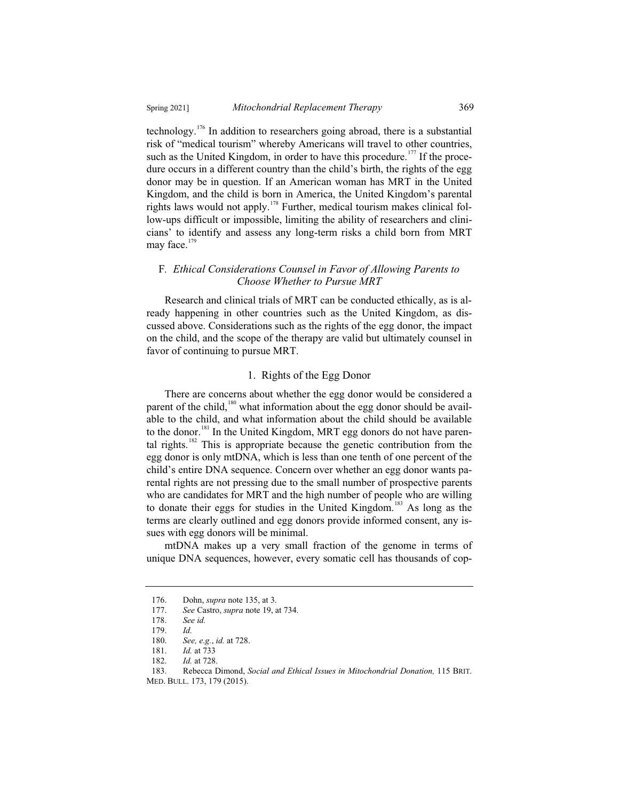technology.<sup>176</sup> In addition to researchers going abroad, there is a substantial risk of "medical tourism" whereby Americans will travel to other countries, such as the United Kingdom, in order to have this procedure.<sup>177</sup> If the procedure occurs in a different country than the child's birth, the rights of the egg donor may be in question. If an American woman has MRT in the United Kingdom, and the child is born in America, the United Kingdom's parental rights laws would not apply.<sup>178</sup> Further, medical tourism makes clinical follow-ups difficult or impossible, limiting the ability of researchers and clinicians' to identify and assess any long-term risks a child born from MRT may face.<sup>179</sup>

## F*. Ethical Considerations Counsel in Favor of Allowing Parents to Choose Whether to Pursue MRT*

Research and clinical trials of MRT can be conducted ethically, as is already happening in other countries such as the United Kingdom, as discussed above. Considerations such as the rights of the egg donor, the impact on the child, and the scope of the therapy are valid but ultimately counsel in favor of continuing to pursue MRT.

## 1. Rights of the Egg Donor

There are concerns about whether the egg donor would be considered a parent of the child, $180$  what information about the egg donor should be available to the child, and what information about the child should be available to the donor.<sup>181</sup> In the United Kingdom, MRT egg donors do not have parental rights.<sup>182</sup> This is appropriate because the genetic contribution from the egg donor is only mtDNA, which is less than one tenth of one percent of the child's entire DNA sequence. Concern over whether an egg donor wants parental rights are not pressing due to the small number of prospective parents who are candidates for MRT and the high number of people who are willing to donate their eggs for studies in the United Kingdom.<sup>183</sup> As long as the terms are clearly outlined and egg donors provide informed consent, any issues with egg donors will be minimal.

mtDNA makes up a very small fraction of the genome in terms of unique DNA sequences, however, every somatic cell has thousands of cop-

<sup>176.</sup> Dohn, *supra* note 135, at 3.<br>177. See Castro, *supra* note 19, a

<sup>177.</sup> *See* Castro, *supra* note 19, at 734.

<sup>178.</sup> *See id.*

<sup>179.</sup> *Id.*

<sup>180.</sup> *See, e.g.*, *id.* at 728.

<sup>181.</sup> *Id.* at 733

<sup>182.</sup> *Id.* at 728.

<sup>183.</sup> Rebecca Dimond, *Social and Ethical Issues in Mitochondrial Donation,* 115 BRIT. MED. BULL. 173, 179 (2015).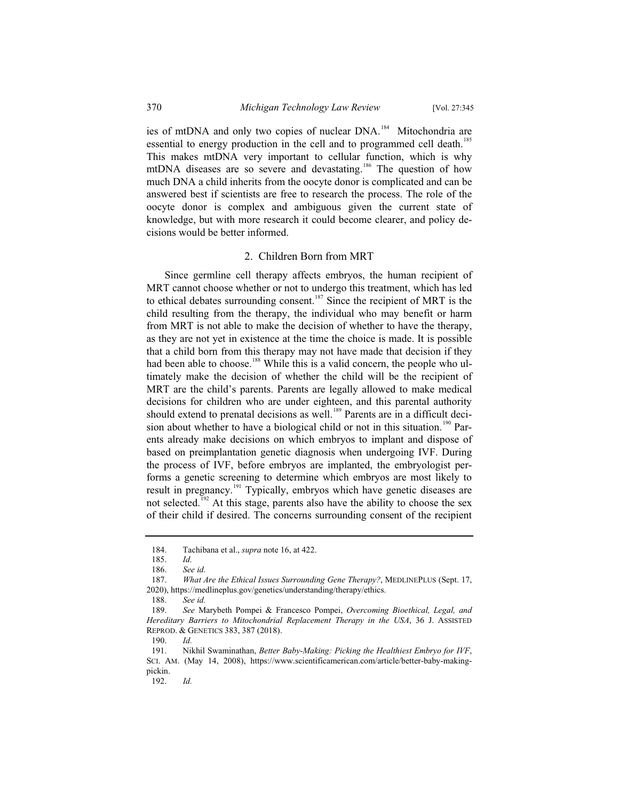ies of mtDNA and only two copies of nuclear DNA.<sup>184</sup> Mitochondria are essential to energy production in the cell and to programmed cell death.<sup>185</sup> This makes mtDNA very important to cellular function, which is why mtDNA diseases are so severe and devastating.<sup>186</sup> The question of how much DNA a child inherits from the oocyte donor is complicated and can be answered best if scientists are free to research the process. The role of the oocyte donor is complex and ambiguous given the current state of knowledge, but with more research it could become clearer, and policy decisions would be better informed.

#### 2. Children Born from MRT

Since germline cell therapy affects embryos, the human recipient of MRT cannot choose whether or not to undergo this treatment, which has led to ethical debates surrounding consent.<sup>187</sup> Since the recipient of MRT is the child resulting from the therapy, the individual who may benefit or harm from MRT is not able to make the decision of whether to have the therapy, as they are not yet in existence at the time the choice is made. It is possible that a child born from this therapy may not have made that decision if they had been able to choose.<sup>188</sup> While this is a valid concern, the people who ultimately make the decision of whether the child will be the recipient of MRT are the child's parents. Parents are legally allowed to make medical decisions for children who are under eighteen, and this parental authority should extend to prenatal decisions as well.<sup>189</sup> Parents are in a difficult decision about whether to have a biological child or not in this situation.<sup>190</sup> Parents already make decisions on which embryos to implant and dispose of based on preimplantation genetic diagnosis when undergoing IVF. During the process of IVF, before embryos are implanted, the embryologist performs a genetic screening to determine which embryos are most likely to result in pregnancy.<sup>191</sup> Typically, embryos which have genetic diseases are not selected.<sup>192</sup> At this stage, parents also have the ability to choose the sex of their child if desired. The concerns surrounding consent of the recipient

<sup>184.</sup> Tachibana et al., *supra* note 16, at 422.

<sup>185.</sup> *Id.*

<sup>186.</sup> *See id.*

<sup>187.</sup> *What Are the Ethical Issues Surrounding Gene Therapy?*, MEDLINEPLUS (Sept. 17, 2020), https://medlineplus.gov/genetics/understanding/therapy/ethics.

<sup>188.</sup> *See id.*

<sup>189.</sup> *See* Marybeth Pompei & Francesco Pompei, *Overcoming Bioethical, Legal, and Hereditary Barriers to Mitochondrial Replacement Therapy in the USA*, 36 J. ASSISTED REPROD.&GENETICS 383, 387 (2018).

<sup>190.</sup> *Id.*

<sup>191.</sup> Nikhil Swaminathan, *Better Baby-Making: Picking the Healthiest Embryo for IVF*, SCI. AM. (May 14, 2008), https://www.scientificamerican.com/article/better-baby-makingpickin.

<sup>192.</sup> *Id.*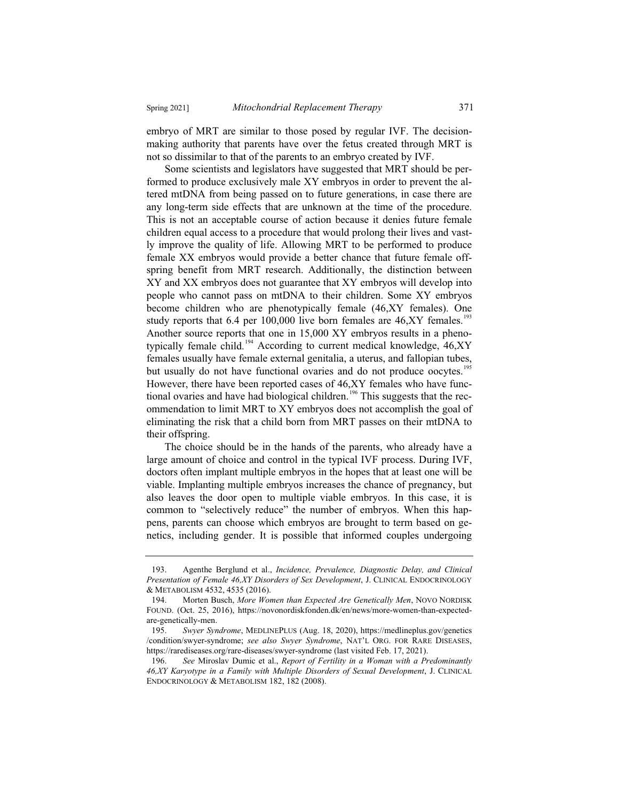embryo of MRT are similar to those posed by regular IVF. The decisionmaking authority that parents have over the fetus created through MRT is not so dissimilar to that of the parents to an embryo created by IVF.

Some scientists and legislators have suggested that MRT should be performed to produce exclusively male XY embryos in order to prevent the altered mtDNA from being passed on to future generations, in case there are any long-term side effects that are unknown at the time of the procedure. This is not an acceptable course of action because it denies future female children equal access to a procedure that would prolong their lives and vastly improve the quality of life. Allowing MRT to be performed to produce female XX embryos would provide a better chance that future female offspring benefit from MRT research. Additionally, the distinction between XY and XX embryos does not guarantee that XY embryos will develop into people who cannot pass on mtDNA to their children. Some XY embryos become children who are phenotypically female (46,XY females). One study reports that 6.4 per 100,000 live born females are  $46, XY$  females.<sup>193</sup> Another source reports that one in 15,000 XY embryos results in a phenotypically female child.<sup>194</sup> According to current medical knowledge, 46,XY females usually have female external genitalia, a uterus, and fallopian tubes, but usually do not have functional ovaries and do not produce oocytes.<sup>19</sup> However, there have been reported cases of 46,XY females who have functional ovaries and have had biological children.<sup>196</sup> This suggests that the recommendation to limit MRT to XY embryos does not accomplish the goal of eliminating the risk that a child born from MRT passes on their mtDNA to their offspring.

The choice should be in the hands of the parents, who already have a large amount of choice and control in the typical IVF process. During IVF, doctors often implant multiple embryos in the hopes that at least one will be viable. Implanting multiple embryos increases the chance of pregnancy, but also leaves the door open to multiple viable embryos. In this case, it is common to "selectively reduce" the number of embryos. When this happens, parents can choose which embryos are brought to term based on genetics, including gender. It is possible that informed couples undergoing

<sup>193.</sup> Agenthe Berglund et al., *Incidence, Prevalence, Diagnostic Delay, and Clinical Presentation of Female 46,XY Disorders of Sex Development*, J. CLINICAL ENDOCRINOLOGY & METABOLISM 4532, 4535 (2016).

<sup>194.</sup> Morten Busch, *More Women than Expected Are Genetically Men*, NOVO NORDISK FOUND. (Oct. 25, 2016), https://novonordiskfonden.dk/en/news/more-women-than-expectedare-genetically-men.

<sup>195.</sup> *Swyer Syndrome*, MEDLINEPLUS (Aug. 18, 2020), https://medlineplus.gov/genetics /condition/swyer-syndrome; *see also Swyer Syndrome*, NAT'L ORG. FOR RARE DISEASES, https://rarediseases.org/rare-diseases/swyer-syndrome (last visited Feb. 17, 2021).

<sup>196.</sup> *See* Miroslav Dumic et al., *Report of Fertility in a Woman with a Predominantly 46,XY Karyotype in a Family with Multiple Disorders of Sexual Development*, J. CLINICAL ENDOCRINOLOGY & METABOLISM 182, 182 (2008).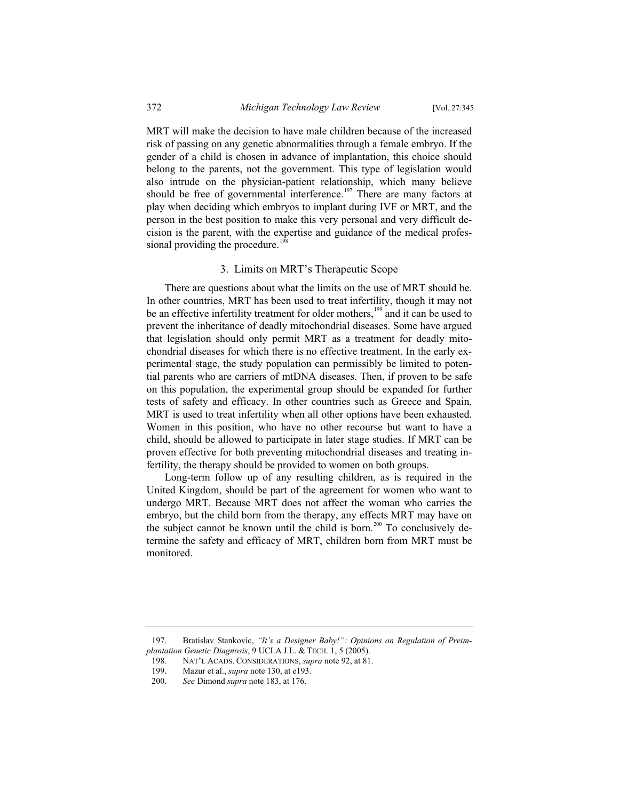MRT will make the decision to have male children because of the increased risk of passing on any genetic abnormalities through a female embryo. If the gender of a child is chosen in advance of implantation, this choice should belong to the parents, not the government. This type of legislation would also intrude on the physician-patient relationship, which many believe should be free of governmental interference.<sup>197</sup> There are many factors at play when deciding which embryos to implant during IVF or MRT, and the person in the best position to make this very personal and very difficult decision is the parent, with the expertise and guidance of the medical professional providing the procedure.<sup>1</sup>

## 3. Limits on MRT's Therapeutic Scope

There are questions about what the limits on the use of MRT should be. In other countries, MRT has been used to treat infertility, though it may not be an effective infertility treatment for older mothers,<sup>199</sup> and it can be used to prevent the inheritance of deadly mitochondrial diseases. Some have argued that legislation should only permit MRT as a treatment for deadly mitochondrial diseases for which there is no effective treatment. In the early experimental stage, the study population can permissibly be limited to potential parents who are carriers of mtDNA diseases. Then, if proven to be safe on this population, the experimental group should be expanded for further tests of safety and efficacy. In other countries such as Greece and Spain, MRT is used to treat infertility when all other options have been exhausted. Women in this position, who have no other recourse but want to have a child, should be allowed to participate in later stage studies. If MRT can be proven effective for both preventing mitochondrial diseases and treating infertility, the therapy should be provided to women on both groups.

Long-term follow up of any resulting children, as is required in the United Kingdom, should be part of the agreement for women who want to undergo MRT. Because MRT does not affect the woman who carries the embryo, but the child born from the therapy, any effects MRT may have on the subject cannot be known until the child is born.<sup>200</sup> To conclusively determine the safety and efficacy of MRT, children born from MRT must be monitored.

<sup>197.</sup> Bratislav Stankovic, *"It's a Designer Baby!": Opinions on Regulation of Preimplantation Genetic Diagnosis*, 9 UCLA J.L. & TECH. 1, 5 (2005).

<sup>198.</sup> NAT'L ACADS. CONSIDERATIONS, *supra* note 92, at 81.

<sup>199.</sup> Mazur et al., *supra* note 130, at e193.

<sup>200.</sup> *See* Dimond *supra* note 183, at 176.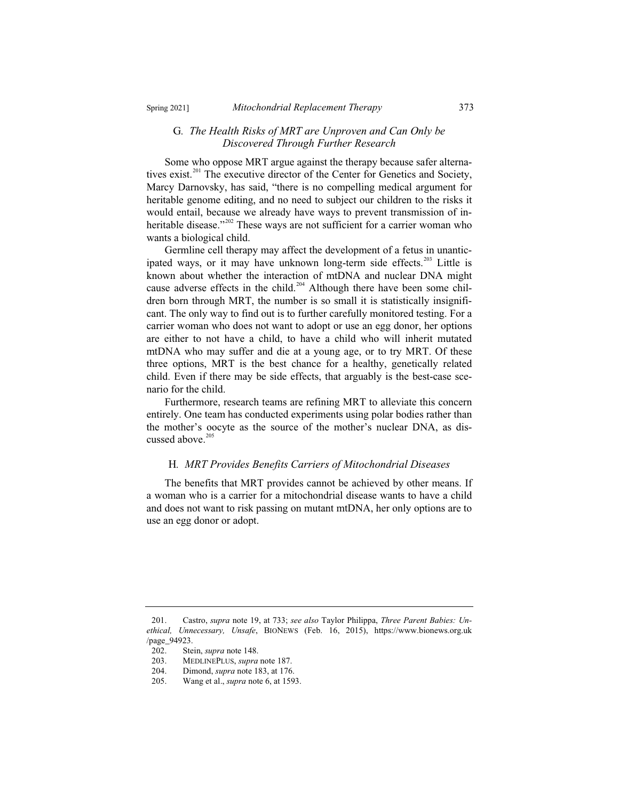#### G*. The Health Risks of MRT are Unproven and Can Only be Discovered Through Further Research*

Some who oppose MRT argue against the therapy because safer alternatives exist.<sup>201</sup> The executive director of the Center for Genetics and Society, Marcy Darnovsky, has said, "there is no compelling medical argument for heritable genome editing, and no need to subject our children to the risks it would entail, because we already have ways to prevent transmission of inheritable disease."<sup>202</sup> These ways are not sufficient for a carrier woman who wants a biological child.

Germline cell therapy may affect the development of a fetus in unanticipated ways, or it may have unknown long-term side effects.<sup>203</sup> Little is known about whether the interaction of mtDNA and nuclear DNA might cause adverse effects in the child.<sup>204</sup> Although there have been some children born through MRT, the number is so small it is statistically insignificant. The only way to find out is to further carefully monitored testing. For a carrier woman who does not want to adopt or use an egg donor, her options are either to not have a child, to have a child who will inherit mutated mtDNA who may suffer and die at a young age, or to try MRT. Of these three options, MRT is the best chance for a healthy, genetically related child. Even if there may be side effects, that arguably is the best-case scenario for the child.

Furthermore, research teams are refining MRT to alleviate this concern entirely. One team has conducted experiments using polar bodies rather than the mother's oocyte as the source of the mother's nuclear DNA, as discussed above.<sup>205</sup>

#### H*. MRT Provides Benefits Carriers of Mitochondrial Diseases*

The benefits that MRT provides cannot be achieved by other means. If a woman who is a carrier for a mitochondrial disease wants to have a child and does not want to risk passing on mutant mtDNA, her only options are to use an egg donor or adopt.

<sup>201.</sup> Castro, *supra* note 19, at 733; *see also* Taylor Philippa, *Three Parent Babies: Unethical, Unnecessary, Unsafe*, BIONEWS (Feb. 16, 2015), https://www.bionews.org.uk /page\_94923.

<sup>202.</sup> Stein, *supra* note 148.

<sup>203.</sup> MEDLINEPLUS, *supra* note 187.<br>204 Dimond *supra* note 183 at 176

Dimond, *supra* note 183, at 176.

<sup>205.</sup> Wang et al., *supra* note 6, at 1593.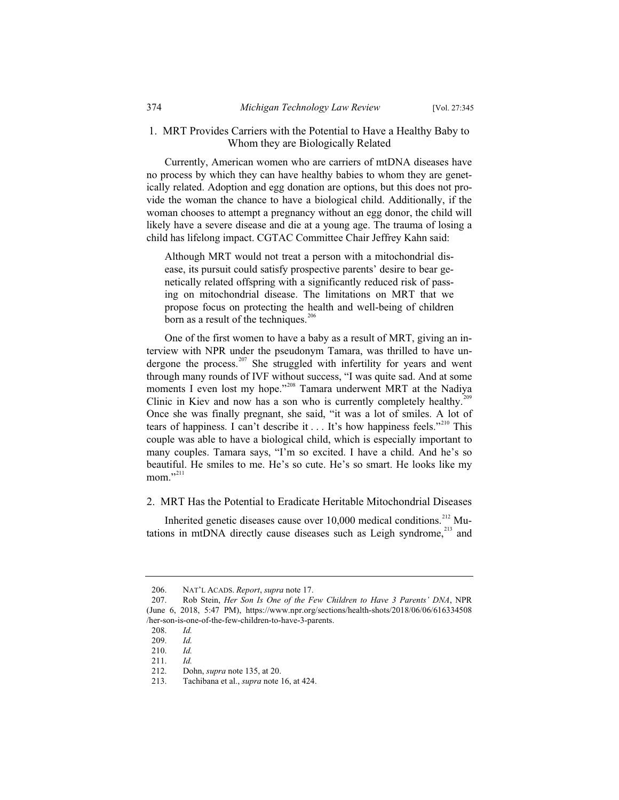## 1. MRT Provides Carriers with the Potential to Have a Healthy Baby to Whom they are Biologically Related

Currently, American women who are carriers of mtDNA diseases have no process by which they can have healthy babies to whom they are genetically related. Adoption and egg donation are options, but this does not provide the woman the chance to have a biological child. Additionally, if the woman chooses to attempt a pregnancy without an egg donor, the child will likely have a severe disease and die at a young age. The trauma of losing a child has lifelong impact. CGTAC Committee Chair Jeffrey Kahn said:

Although MRT would not treat a person with a mitochondrial disease, its pursuit could satisfy prospective parents' desire to bear genetically related offspring with a significantly reduced risk of passing on mitochondrial disease. The limitations on MRT that we propose focus on protecting the health and well-being of children born as a result of the techniques. $206$ 

One of the first women to have a baby as a result of MRT, giving an interview with NPR under the pseudonym Tamara, was thrilled to have undergone the process.<sup>207</sup> She struggled with infertility for years and went through many rounds of IVF without success, "I was quite sad. And at some moments I even lost my hope."<sup>208</sup> Tamara underwent MRT at the Nadiya Clinic in Kiev and now has a son who is currently completely healthy.<sup>2</sup> Once she was finally pregnant, she said, "it was a lot of smiles. A lot of tears of happiness. I can't describe it . . . It's how happiness feels."<sup>210</sup> This couple was able to have a biological child, which is especially important to many couples. Tamara says, "I'm so excited. I have a child. And he's so beautiful. He smiles to me. He's so cute. He's so smart. He looks like my  $mom.$ <sup>211</sup>

#### 2. MRT Has the Potential to Eradicate Heritable Mitochondrial Diseases

Inherited genetic diseases cause over 10,000 medical conditions.<sup>212</sup> Mutations in mtDNA directly cause diseases such as Leigh syndrome,<sup>213</sup> and

<sup>206.</sup> NAT'L ACADS. *Report*, *supra* note 17.

<sup>207.</sup> Rob Stein, *Her Son Is One of the Few Children to Have 3 Parents' DNA*, NPR (June 6, 2018, 5:47 PM), https://www.npr.org/sections/health-shots/2018/06/06/616334508 /her-son-is-one-of-the-few-children-to-have-3-parents.

<sup>208.</sup> *Id.*

<sup>209.</sup> *Id.*

<sup>210.</sup> *Id.*

<sup>211.</sup> *Id.*

<sup>212.</sup> Dohn, *supra* note 135, at 20.

<sup>213.</sup> Tachibana et al., *supra* note 16, at 424.